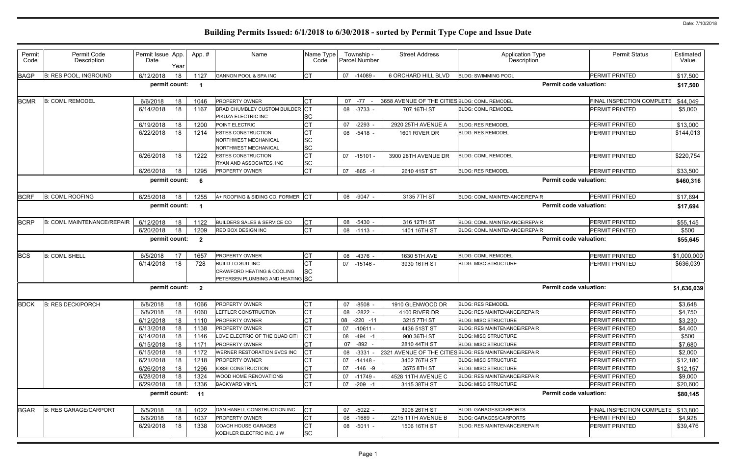| Permit<br>Code | Permit Code<br>Description        | Permit Issue App<br>Date | Year | App.#                   | Name                                                  | Name Type<br>Code      |    | Township -<br>Parcel Number | <b>Street Address</b>                               | <b>Application Type</b><br><b>Description</b>          | <b>Permit Status</b>             | Estimated<br>Value |
|----------------|-----------------------------------|--------------------------|------|-------------------------|-------------------------------------------------------|------------------------|----|-----------------------------|-----------------------------------------------------|--------------------------------------------------------|----------------------------------|--------------------|
| <b>BAGP</b>    | <b>B: RES POOL, INGROUND</b>      | 6/12/2018                | 18   | 1127                    | GANNON POOL & SPA INC                                 | <b>CT</b>              | 07 | $-14089$                    | 6 ORCHARD HILL BLVD                                 | <b>BLDG: SWIMMING POOL</b>                             | PERMIT PRINTED                   | \$17,500           |
|                |                                   | permit count:            |      |                         |                                                       |                        |    |                             |                                                     |                                                        | <b>Permit code valuation:</b>    | \$17,500           |
| <b>BCMR</b>    | <b>B: COML REMODEL</b>            | 6/6/2018                 | 18   | 1046                    | PROPERTY OWNER                                        | CT                     |    | 07 -77                      | <b>8658 AVENUE OF THE CITIES BLDG: COML REMODEL</b> |                                                        | <b>FINAL INSPECTION COMPLETE</b> | \$44,049           |
|                |                                   | 6/14/2018                | 18   | 1167                    | BRAD CHUMBLEY CUSTOM BUILDER                          | IСT                    |    | 08 -3733 -                  | 707 16TH ST                                         | <b>BLDG: COML REMODEL</b>                              | <b>PERMIT PRINTED</b>            | \$5,000            |
|                |                                   |                          |      |                         | PIKUZA ELECTRIC INC                                   | <b>SC</b>              |    |                             |                                                     |                                                        |                                  |                    |
|                |                                   | 6/19/2018                | 18   | 1200                    | POINT ELECTRIC                                        | <b>CT</b>              | 07 | $-2293$                     | 2920 25TH AVENUE A                                  | <b>BLDG: RES REMODEL</b>                               | <b>PERMIT PRINTED</b>            | \$13,000           |
|                |                                   | 6/22/2018                | 18   | 1214                    | <b>ESTES CONSTRUCTION</b>                             | CT                     |    | 08 -5418 -                  | 1601 RIVER DR                                       | <b>BLDG: RES REMODEL</b>                               | <b>PERMIT PRINTED</b>            | \$144,013          |
|                |                                   |                          |      |                         | NORTHWEST MECHANICAL                                  | <b>SC</b>              |    |                             |                                                     |                                                        |                                  |                    |
|                |                                   |                          |      |                         | NORTHWEST MECHANICAL                                  | <b>SC</b>              |    |                             |                                                     |                                                        |                                  |                    |
|                |                                   | 6/26/2018                | 18   | 1222                    | <b>ESTES CONSTRUCTION</b><br>RYAN AND ASSOCIATES, INC | <b>CT</b><br><b>SC</b> | 07 | -15101 -                    | 3900 28TH AVENUE DR                                 | <b>BLDG: COML REMODEL</b>                              | <b>PERMIT PRINTED</b>            | \$220,754          |
|                |                                   | 6/26/2018                | 18   | 1295                    | <b>PROPERTY OWNER</b>                                 | <b>CT</b>              | 07 | $-865 - 1$                  | 2610 41ST ST                                        | <b>BLDG: RES REMODEL</b>                               | PERMIT PRINTED                   | \$33,500           |
|                |                                   | permit count:            |      | 6                       |                                                       |                        |    |                             |                                                     |                                                        | <b>Permit code valuation:</b>    | \$460,316          |
| <b>BCRF</b>    | <b>B: COML ROOFING</b>            | 6/25/2018                | 18   | 1255                    | A+ ROOFING & SIDING CO. FORMER CT                     |                        |    | 08 -9047 -                  | 3135 7TH ST                                         | BLDG: COML MAINTENANCE/REPAIR                          | <b>PERMIT PRINTED</b>            | \$17,694           |
|                |                                   | permit count:            |      |                         |                                                       |                        |    |                             |                                                     |                                                        | <b>Permit code valuation:</b>    | \$17,694           |
| <b>BCRP</b>    | <b>B: COML MAINTENANCE/REPAIR</b> | 6/12/2018                | 18   | 1122                    | <b>BUILDERS SALES &amp; SERVICE CO</b>                | Iст                    | 08 | $-5430$                     | 316 12TH ST                                         | BLDG: COML MAINTENANCE/REPAIR                          | PERMIT PRINTED                   | \$55,145           |
|                |                                   | 6/20/2018                | 18   | 1209                    | <b>RED BOX DESIGN INC</b>                             | <b>CT</b>              |    | 08 -1113 -                  | 1401 16TH ST                                        | BLDG: COML MAINTENANCE/REPAIR                          | PERMIT PRINTED                   | \$500              |
|                |                                   | permit count:            |      | $\overline{2}$          |                                                       |                        |    |                             |                                                     |                                                        | <b>Permit code valuation:</b>    | \$55,645           |
| <b>BCS</b>     | <b>B: COML SHELL</b>              | 6/5/2018                 | 17   | 1657                    | PROPERTY OWNER                                        | СT                     | 08 | $-4376 -$                   | 1630 5TH AVE                                        | <b>BLDG: COML REMODEL</b>                              | <b>PERMIT PRINTED</b>            | \$1,000,000        |
|                |                                   | 6/14/2018                | 18   | 728                     | <b>BUILD TO SUIT INC</b>                              |                        | 07 | -15146 -                    | 3930 16TH ST                                        | <b>BLDG: MISC STRUCTURE</b>                            | <b>PERMIT PRINTED</b>            | \$636,039          |
|                |                                   |                          |      |                         | <b>CRAWFORD HEATING &amp; COOLING</b>                 | <b>SC</b>              |    |                             |                                                     |                                                        |                                  |                    |
|                |                                   |                          |      |                         | PETERSEN PLUMBING AND HEATING SC                      |                        |    |                             |                                                     |                                                        |                                  |                    |
|                |                                   | permit count:            |      | $\overline{\mathbf{2}}$ |                                                       |                        |    |                             |                                                     |                                                        | <b>Permit code valuation:</b>    | \$1,636,039        |
| <b>BDCK</b>    | <b>B: RES DECK/PORCH</b>          | 6/8/2018                 | 18   | 1066                    | PROPERTY OWNER                                        | <b>CT</b>              | 07 | $-8508$                     | 1910 GLENWOOD DR                                    | <b>BLDG: RES REMODEL</b>                               | PERMIT PRINTED                   | \$3,648            |
|                |                                   | 6/8/2018                 | 18   | 1060                    | LEFFLER CONSTRUCTION                                  | <b>CT</b>              | 08 | -2822 -                     | 4100 RIVER DR                                       | BLDG: RES MAINTENANCE/REPAIR                           | <b>PERMIT PRINTED</b>            | \$4,750            |
|                |                                   | 6/12/2018                | 18   | 1110                    | <b>PROPERTY OWNER</b>                                 | <b>CT</b>              |    | 08 -220 -11                 | 3215 7TH ST                                         | <b>BLDG: MISC STRUCTURE</b>                            | <b>PERMIT PRINTED</b>            | \$3,230            |
|                |                                   | 6/13/2018                | 18   | 1138                    | <b>PROPERTY OWNER</b>                                 |                        | 07 | -10611 -                    | 4436 51ST ST                                        | BLDG: RES MAINTENANCE/REPAIR                           | PERMIT PRINTED                   | \$4,400            |
|                |                                   | 6/14/2018                | 18   | 1146                    | LOVE ELECTRIC OF THE QUAD CITI                        |                        |    | 08 -494 -1                  | 900 36TH ST                                         | <b>BLDG: MISC STRUCTURE</b>                            | PERMIT PRINTED                   | \$500              |
|                |                                   | 6/15/2018                | 18   | 1171                    | <b>PROPERTY OWNER</b>                                 | <b>CT</b>              |    | 07 -892 -                   | 2810 44TH ST                                        | <b>BLDG: MISC STRUCTURE</b>                            | PERMIT PRINTED                   | \$7,680            |
|                |                                   | 6/15/2018                | 18   | 1172                    | WERNER RESTORATION SVCS INC                           |                        | 08 | -3331 -                     |                                                     | 2321 AVENUE OF THE CITIES BLDG: RES MAINTENANCE/REPAIR | PERMIT PRINTED                   | \$2,000            |
|                |                                   | 6/21/2018                | 18   | 1218                    | PROPERTY OWNER                                        |                        | 07 | -14148 -                    | 3402 76TH ST                                        | <b>BLDG: MISC STRUCTURE</b>                            | PERMIT PRINTED                   | \$12,180           |
|                |                                   | 6/26/2018                | 18   | 1296                    | IOSSI CONSTRUCTION                                    |                        | 07 | -146 -9                     | 3575 8TH ST                                         | <b>BLDG: MISC STRUCTURE</b>                            | <b>PERMIT PRINTED</b>            | \$12,157           |
|                |                                   | 6/28/2018                | 18   | 1324                    | WOOD HOME RENOVATIONS                                 | CT                     | 07 | $-11749$                    | 4528 11TH AVENUE C                                  | <b>BLDG: RES MAINTENANCE/REPAIR</b>                    | PERMIT PRINTED                   | \$9,000            |
|                |                                   | 6/29/2018                | 18   | 1336                    | <b>BACKYARD VINYL</b>                                 | <b>CT</b>              | 07 | $-209 - 1$                  | 3115 38TH ST                                        | <b>BLDG: MISC STRUCTURE</b>                            | PERMIT PRINTED                   | \$20,600           |
|                |                                   | permit count:            |      | 11                      |                                                       |                        |    |                             |                                                     |                                                        | <b>Permit code valuation:</b>    | \$80,145           |
| <b>BGAR</b>    | <b>B: RES GARAGE/CARPORT</b>      | 6/5/2018                 | 18   | 1022                    | DAN HANELL CONSTRUCTION INC                           | <b>CT</b>              | 07 | -5022 -                     | 3906 26TH ST                                        | <b>BLDG: GARAGES/CARPORTS</b>                          | FINAL INSPECTION COMPLETE        | \$13,800           |
|                |                                   | 6/6/2018                 | 18   | 1037                    | PROPERTY OWNER                                        | <b>CT</b>              | 08 | $-1689 -$                   | 2215 11TH AVENUE B                                  | <b>BLDG: GARAGES/CARPORTS</b>                          | PERMIT PRINTED                   | \$4,928            |
|                |                                   | 6/29/2018                | 18   | 1338                    | <b>COACH HOUSE GARAGES</b>                            | C <sub>T</sub>         |    | 08 -5011 -                  | 1506 16TH ST                                        | BLDG: RES MAINTENANCE/REPAIR                           | PERMIT PRINTED                   | \$39,476           |
|                |                                   |                          |      |                         | KOEHLER ELECTRIC INC, J W                             | <b>SC</b>              |    |                             |                                                     |                                                        |                                  |                    |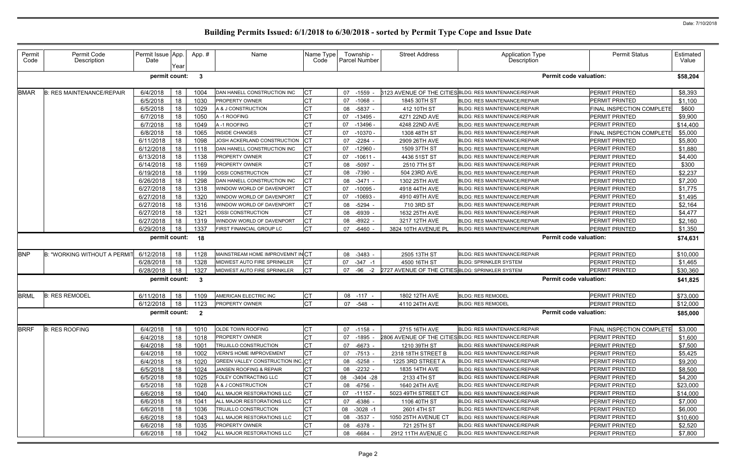| Permit<br>Code | Permit Code<br>Description       | Permit Issue App.<br>Date | Year | App.#                   | Name                              | Name Type<br>Code |    | Township -<br><b>Parcel Number</b> | <b>Street Address</b>                            | <b>Application Type</b><br><b>Description</b>          | <b>Permit Status</b>             | Estimated<br>Value |
|----------------|----------------------------------|---------------------------|------|-------------------------|-----------------------------------|-------------------|----|------------------------------------|--------------------------------------------------|--------------------------------------------------------|----------------------------------|--------------------|
|                |                                  | permit count:             |      | $\mathbf{3}$            |                                   |                   |    |                                    |                                                  |                                                        | <b>Permit code valuation:</b>    | \$58,204           |
| <b>BMAR</b>    | <b>B: RES MAINTENANCE/REPAIR</b> | 6/4/2018                  | 18   | 1004                    | DAN HANELL CONSTRUCTION INC       | <b>CT</b>         | 07 | $-1559$                            |                                                  | 3123 AVENUE OF THE CITIES BLDG: RES MAINTENANCE/REPAIR | PERMIT PRINTED                   | \$8,393            |
|                |                                  | 6/5/2018                  | 18   | 1030                    | <b>PROPERTY OWNER</b>             | <b>CT</b>         | 07 | $-1068$                            | 1845 30TH ST                                     | BLDG: RES MAINTENANCE/REPAIR                           | <b>PERMIT PRINTED</b>            | \$1,100            |
|                |                                  | 6/5/2018                  | 18   | 1029                    | A & J CONSTRUCTION                | <b>CT</b>         | 08 | -5837 -                            | 412 10TH ST                                      | <b>BLDG: RES MAINTENANCE/REPAIR</b>                    | FINAL INSPECTION COMPLETE        | \$600              |
|                |                                  | 6/7/2018                  | 18   | 1050                    | A-1 ROOFING                       | <b>CT</b>         | 07 | $-13495$                           | 4271 22ND AVE                                    | <b>BLDG: RES MAINTENANCE/REPAIR</b>                    | <b>PERMIT PRINTED</b>            | \$9,900            |
|                |                                  | 6/7/2018                  | 18   | 1049                    | A-1 ROOFING                       | <b>CT</b>         | 07 | $-13496$                           | 4248 22ND AVE                                    | <b>BLDG: RES MAINTENANCE/REPAIR</b>                    | <b>PERMIT PRINTED</b>            | \$14,400           |
|                |                                  | 6/8/2018                  | 18   | 1065                    | <b>INSIDE CHANGES</b>             | <b>CT</b>         | 07 | $-10370$                           | 1308 48TH ST                                     | <b>BLDG: RES MAINTENANCE/REPAIR</b>                    | <b>FINAL INSPECTION COMPLETE</b> | \$5,000            |
|                |                                  | 6/11/2018                 | 18   | 1098                    | JOSH ACKERLAND CONSTRUCTION       | Iст               | 07 | $-2284$                            | 2909 26TH AVE                                    | <b>BLDG: RES MAINTENANCE/REPAIR</b>                    | <b>PERMIT PRINTED</b>            | \$5,800            |
|                |                                  | 6/12/2018                 | 18   | 1118                    | DAN HANELL CONSTRUCTION INC       | IСТ               | 07 | $-12960$                           | 1509 37TH ST                                     | BLDG: RES MAINTENANCE/REPAIR                           | <b>PERMIT PRINTED</b>            | \$1,880            |
|                |                                  | 6/13/2018                 | 18   | 1138                    | PROPERTY OWNER                    | <b>CT</b>         | 07 | $-10611$                           | 4436 51ST ST                                     | <b>BLDG: RES MAINTENANCE/REPAIR</b>                    | <b>PERMIT PRINTED</b>            | \$4,400            |
|                |                                  | 6/14/2018                 | 18   | 1169                    | PROPERTY OWNER                    | <b>CT</b>         | 08 | -5097 -                            | 2510 7TH ST                                      | BLDG: RES MAINTENANCE/REPAIR                           | PERMIT PRINTED                   | \$300              |
|                |                                  | 6/19/2018                 | 18   | 1199                    | IOSSI CONSTRUCTION                | <b>CT</b>         | 08 | -7390                              | 504 23RD AVE                                     | <b>BLDG: RES MAINTENANCE/REPAIR</b>                    | <b>PERMIT PRINTED</b>            | \$2,237            |
|                |                                  | 6/26/2018                 | 18   | 1298                    | DAN HANELL CONSTRUCTION INC       | CT                | 08 | $-3471$                            | 1302 25TH AVE                                    | BLDG: RES MAINTENANCE/REPAIR                           | <b>PERMIT PRINTED</b>            | \$7,200            |
|                |                                  | 6/27/2018                 | 18   | 1318                    | WINDOW WORLD OF DAVENPORT         | <b>CT</b>         | 07 | $-10095$                           | 4918 44TH AVE                                    | <b>BLDG: RES MAINTENANCE/REPAIR</b>                    | <b>PERMIT PRINTED</b>            | \$1,775            |
|                |                                  | 6/27/2018                 | 18   | 1320                    | WINDOW WORLD OF DAVENPORT         | <b>CT</b>         | 07 | $-10693$                           | 4910 49TH AVE                                    | <b>BLDG: RES MAINTENANCE/REPAIR</b>                    | <b>PERMIT PRINTED</b>            | \$1,495            |
|                |                                  | 6/27/2018                 | 18   | 1316                    | WINDOW WORLD OF DAVENPORT         | <b>CT</b>         | 08 | -5294                              | 710 3RD ST                                       | <b>BLDG: RES MAINTENANCE/REPAIR</b>                    | <b>PERMIT PRINTED</b>            | \$2,164            |
|                |                                  | 6/27/2018                 | 18   | 1321                    | <b>IOSSI CONSTRUCTION</b>         | <b>CT</b>         | 08 | $-6939$                            | 1632 25TH AVE                                    | <b>BLDG: RES MAINTENANCE/REPAIR</b>                    | <b>PERMIT PRINTED</b>            | \$4,477            |
|                |                                  | 6/27/2018                 | 18   | 1319                    | WINDOW WORLD OF DAVENPORT         | <b>CT</b>         | 08 | -8922                              | 3217 12TH AVE                                    | <b>BLDG: RES MAINTENANCE/REPAIR</b>                    | PERMIT PRINTED                   | \$2,160            |
|                |                                  | 6/29/2018                 | 18   | 1337                    | FIRST FINANCIAL GROUP LC          | <b>CT</b>         | 07 | $-6460$                            | 3824 10TH AVENUE PL                              | <b>BLDG: RES MAINTENANCE/REPAIR</b>                    | <b>PERMIT PRINTED</b>            | \$1,350            |
|                |                                  | permit count: 18          |      |                         |                                   |                   |    |                                    |                                                  |                                                        | <b>Permit code valuation:</b>    | \$74,631           |
| <b>BNP</b>     | B: "WORKING WITHOUT A PERMI      | 6/12/2018                 | 18   | 1128                    | MAINSTREAM HOME IMPROVEMNT INCT   |                   | 08 | $-3483$                            | 2505 13TH ST                                     | <b>BLDG: RES MAINTENANCE/REPAIR</b>                    | <b>PERMIT PRINTED</b>            | \$10,000           |
|                |                                  | 6/28/2018                 | 18   | 1328                    | MIDWEST AUTO FIRE SPRINKLER       | IСТ               | 07 | $-347 - 1$                         | 4500 16TH ST                                     | <b>BLDG: SPRINKLER SYSTEM</b>                          | PERMIT PRINTED                   | \$1,465            |
|                |                                  | 6/28/2018                 | 18   | 1327                    | MIDWEST AUTO FIRE SPRINKLER       | Iст               | 07 | -96<br>$-2$                        | 2727 AVENUE OF THE CITIES BLDG: SPRINKLER SYSTEM |                                                        | <b>PERMIT PRINTED</b>            | \$30,360           |
|                |                                  | permit count:             |      | $\overline{\mathbf{3}}$ |                                   |                   |    |                                    |                                                  |                                                        | <b>Permit code valuation:</b>    | \$41,825           |
| <b>BRML</b>    | <b>B: RES REMODEL</b>            | 6/11/2018                 | 18   | 1109                    | AMERICAN ELECTRIC INC             | IСТ               |    | 08 -117                            | 1802 12TH AVE                                    | <b>BLDG: RES REMODEL</b>                               | <b>PERMIT PRINTED</b>            | \$73,000           |
|                |                                  | 6/12/2018                 | 18   | 1123                    | PROPERTY OWNER                    | <b>CT</b>         |    | 07 -548                            | 4110 24TH AVE                                    | <b>BLDG: RES REMODEL</b>                               | <b>PERMIT PRINTED</b>            | \$12,000           |
|                |                                  | permit count: 2           |      |                         |                                   |                   |    |                                    |                                                  |                                                        | <b>Permit code valuation:</b>    | \$85,000           |
| <b>BRRF</b>    | <b>B: RES ROOFING</b>            | 6/4/2018                  | 18   | 1010                    | <b>OLDE TOWN ROOFING</b>          | <b>CT</b>         |    | 07 -1158 -                         | 2715 16TH AVE                                    | <b>BLDG: RES MAINTENANCE/REPAIR</b>                    | FINAL INSPECTION COMPLETE        | \$3,000            |
|                |                                  | 6/4/2018                  | 18   | 1018                    | <b>PROPERTY OWNER</b>             | <b>CT</b>         | 07 | -1895 -                            |                                                  | 2806 AVENUE OF THE CITIES BLDG: RES MAINTENANCE/REPAIR | <b>PERMIT PRINTED</b>            | \$1,600            |
|                |                                  | 6/4/2018                  | 18   | 1001                    | TRUJILLO CONSTRUCTION             | <b>CT</b>         | 07 | $-6673 -$                          | 1210 39TH ST                                     | <b>BLDG: RES MAINTENANCE/REPAIR</b>                    | PERMIT PRINTED                   | \$7,500            |
|                |                                  | 6/4/2018                  | 18   | 1002                    | <b>VERN'S HOME IMPROVEMENT</b>    | СT                | 07 | $-7513 -$                          | 2318 18TH STREET B                               | <b>BLDG: RES MAINTENANCE/REPAIR</b>                    | <b>PERMIT PRINTED</b>            | \$5,425            |
|                |                                  | 6/4/2018                  | 18   | 1020                    | GREEN VALLEY CONSTRUCTION INC. CT |                   | 08 | -5258 -                            | 1225 3RD STREET A                                | BLDG: RES MAINTENANCE/REPAIR                           | <b>PERMIT PRINTED</b>            | \$9,200            |
|                |                                  | 6/5/2018                  | 18   | 1024                    | JANSEN ROOFING & REPAIR           | <b>CT</b>         | 08 | $-2232 -$                          | 1835 14TH AVE                                    | <b>BLDG: RES MAINTENANCE/REPAIR</b>                    | <b>PERMIT PRINTED</b>            | \$8,500            |
|                |                                  | 6/5/2018                  | 18   | 1025                    | FOLEY CONTRACTING LLC             | <b>CT</b>         | 08 | $-3404 -28$                        | 2133 4TH ST                                      | <b>BLDG: RES MAINTENANCE/REPAIR</b>                    | <b>PERMIT PRINTED</b>            | \$4,200            |
|                |                                  | 6/5/2018                  | 18   | 1028                    | A & J CONSTRUCTION                | <b>CT</b>         | 08 | -6756 -                            | 1640 24TH AVE                                    | <b>BLDG: RES MAINTENANCE/REPAIR</b>                    | <b>PERMIT PRINTED</b>            | \$23,000           |
|                |                                  | 6/6/2018                  | 18   | 1040                    | ALL MAJOR RESTORATIONS LLC        | <b>CT</b>         | 07 | -11157 -                           | 5023 49TH STREET CT                              | <b>BLDG: RES MAINTENANCE/REPAIR</b>                    | <b>PERMIT PRINTED</b>            | \$14,000           |
|                |                                  | 6/6/2018                  | 18   | 1041                    | ALL MAJOR RESTORATIONS LLC        | <b>CT</b>         | 07 | $-6386 -$                          | 1106 40TH ST                                     | <b>BLDG: RES MAINTENANCE/REPAIR</b>                    | <b>PERMIT PRINTED</b>            | \$7,000            |
|                |                                  | 6/6/2018                  | 18   | 1036                    | TRUJILLO CONSTRUCTION             | <b>CT</b>         | 08 | $-3028 - 1$                        | 2601 4TH ST                                      | <b>BLDG: RES MAINTENANCE/REPAIR</b>                    | <b>PERMIT PRINTED</b>            | \$6,000            |
|                |                                  | 6/6/2018                  | 18   | 1043                    | ALL MAJOR RESTORATIONS LLC        | <b>CT</b>         | 08 | -3537 -                            | 1050 25TH AVENUE CT                              | <b>BLDG: RES MAINTENANCE/REPAIR</b>                    | <b>PERMIT PRINTED</b>            | \$10,600           |
|                |                                  | 6/6/2018                  | 18   | 1035                    | <b>PROPERTY OWNER</b>             | <b>CT</b>         | 08 | $-6378 -$                          | 721 25TH ST                                      | <b>BLDG: RES MAINTENANCE/REPAIR</b>                    | <b>PERMIT PRINTED</b>            | \$2,520            |
|                |                                  | 6/6/2018                  | 18   | 1042                    | ALL MAJOR RESTORATIONS LLC        | <b>CT</b>         |    | 08 -6684 -                         | 2912 11TH AVENUE C                               | <b>BLDG: RES MAINTENANCE/REPAIR</b>                    | <b>PERMIT PRINTED</b>            | \$7,800            |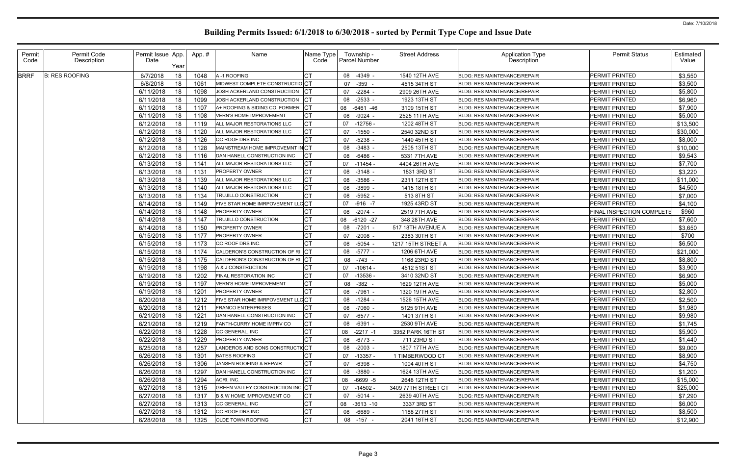| Permit<br>Code | Permit Code<br>Description | Permit Issue App.<br>Date                                                               | Year                                   | App. #                                               | Name                                                                                                                                                                           | Name Type<br>Code                                            | Township -<br><b>Parcel Number</b>                                                                   | <b>Street Address</b>                                                                                                | <b>Application Type</b><br>Description                                                                                                                                                                                                     | <b>Permit Status</b>             | Estimated<br>Value  |
|----------------|----------------------------|-----------------------------------------------------------------------------------------|----------------------------------------|------------------------------------------------------|--------------------------------------------------------------------------------------------------------------------------------------------------------------------------------|--------------------------------------------------------------|------------------------------------------------------------------------------------------------------|----------------------------------------------------------------------------------------------------------------------|--------------------------------------------------------------------------------------------------------------------------------------------------------------------------------------------------------------------------------------------|----------------------------------|---------------------|
| <b>BRRF</b>    | <b>B: RES ROOFING</b>      | 6/7/2018                                                                                | 18                                     | 1048                                                 | A-1 ROOFING                                                                                                                                                                    | СT                                                           | -4349 -<br>08                                                                                        | 1540 12TH AVE                                                                                                        | <b>BLDG: RES MAINTENANCE/REPAIR</b>                                                                                                                                                                                                        | PERMIT PRINTED                   | \$3,550             |
|                |                            | 6/8/2018                                                                                | 18                                     | 1061                                                 | MIDWEST COMPLETE CONSTRUCTIOICT                                                                                                                                                |                                                              | 07<br>-359                                                                                           | 4515 34TH ST                                                                                                         | <b>BLDG: RES MAINTENANCE/REPAIR</b>                                                                                                                                                                                                        | PERMIT PRINTED                   | \$3,500             |
|                |                            | 6/11/2018                                                                               | 18                                     | 1098                                                 | JOSH ACKERLAND CONSTRUCTION                                                                                                                                                    | СT                                                           | $-2284 -$<br>07                                                                                      | 2909 26TH AVE                                                                                                        | <b>BLDG: RES MAINTENANCE/REPAIR</b>                                                                                                                                                                                                        | PERMIT PRINTED                   | \$5,800             |
|                |                            | 6/11/2018                                                                               | 18                                     | 1099                                                 | JOSH ACKERLAND CONSTRUCTION                                                                                                                                                    | CТ                                                           | 08<br>$-2533 -$                                                                                      | 1923 13TH ST                                                                                                         | <b>BLDG: RES MAINTENANCE/REPAIR</b>                                                                                                                                                                                                        | PERMIT PRINTED                   | \$6,960             |
|                |                            | 6/11/2018                                                                               | 18                                     | 1107                                                 | A+ ROOFING & SIDING CO. FORMER                                                                                                                                                 | Iст                                                          | 08<br>-6461 -46                                                                                      | 3109 15TH ST                                                                                                         | <b>BLDG: RES MAINTENANCE/REPAIR</b>                                                                                                                                                                                                        | PERMIT PRINTED                   | \$7,900             |
|                |                            | 6/11/2018                                                                               | 18                                     | 1108                                                 | <b>VERN'S HOME IMPROVEMENT</b>                                                                                                                                                 | СT                                                           | $-9024 -$<br>08                                                                                      | 2525 11TH AVE                                                                                                        | <b>BLDG: RES MAINTENANCE/REPAIR</b>                                                                                                                                                                                                        | PERMIT PRINTED                   | \$5,000             |
|                |                            | 6/12/2018                                                                               | 18                                     | 1119                                                 | ALL MAJOR RESTORATIONS LLC                                                                                                                                                     | <b>CT</b>                                                    | $-12756$<br>07                                                                                       | 1202 48TH ST                                                                                                         | <b>BLDG: RES MAINTENANCE/REPAIR</b>                                                                                                                                                                                                        | PERMIT PRINTED                   | \$13,500            |
|                |                            | 6/12/2018                                                                               | 18                                     | 1120                                                 | ALL MAJOR RESTORATIONS LLC                                                                                                                                                     | СT                                                           | 07<br>$-1550$                                                                                        | 2540 32ND ST                                                                                                         | <b>BLDG: RES MAINTENANCE/REPAIR</b>                                                                                                                                                                                                        | PERMIT PRINTED                   | \$30,000            |
|                |                            | 6/12/2018                                                                               | 18                                     | 1126                                                 | QC ROOF DRS INC.                                                                                                                                                               | СT                                                           | -5238<br>07                                                                                          | 1440 45TH ST                                                                                                         | BLDG: RES MAINTENANCE/REPAIR                                                                                                                                                                                                               | PERMIT PRINTED                   | \$8,000             |
|                |                            | 6/12/2018                                                                               | 18                                     | 1128                                                 | MAINSTREAM HOME IMPROVEMNT INCT                                                                                                                                                |                                                              | $-3483$<br>08                                                                                        | 2505 13TH ST                                                                                                         | BLDG: RES MAINTENANCE/REPAIR                                                                                                                                                                                                               | PERMIT PRINTED                   | \$10,000            |
|                |                            | 6/12/2018                                                                               | 18                                     | 1116                                                 | DAN HANELL CONSTRUCTION INC                                                                                                                                                    | CТ                                                           | 08<br>-6486                                                                                          | 5331 7TH AVE                                                                                                         | <b>BLDG: RES MAINTENANCE/REPAIR</b>                                                                                                                                                                                                        | PERMIT PRINTED                   | \$9,543             |
|                |                            | 6/13/2018                                                                               | 18                                     | 1141                                                 | ALL MAJOR RESTORATIONS LLC                                                                                                                                                     | <b>CT</b>                                                    | $-11454$<br>07                                                                                       | 4404 26TH AVE                                                                                                        | BLDG: RES MAINTENANCE/REPAIR                                                                                                                                                                                                               | PERMIT PRINTED                   | \$7,700             |
|                |                            | 6/13/2018                                                                               | 18                                     | 1131                                                 | <b>PROPERTY OWNER</b>                                                                                                                                                          | СT                                                           | 08<br>-3148 -                                                                                        | 1831 3RD ST                                                                                                          | <b>BLDG: RES MAINTENANCE/REPAIR</b>                                                                                                                                                                                                        | PERMIT PRINTED                   | \$3,220             |
|                |                            | 6/13/2018                                                                               | 18                                     | 1139                                                 | ALL MAJOR RESTORATIONS LLC                                                                                                                                                     | <b>CT</b>                                                    | -3586<br>08                                                                                          | 2311 12TH ST                                                                                                         | <b>BLDG: RES MAINTENANCE/REPAIR</b>                                                                                                                                                                                                        | PERMIT PRINTED                   | \$11,000            |
|                |                            | 6/13/2018                                                                               | 18                                     | 1140                                                 | ALL MAJOR RESTORATIONS LLC                                                                                                                                                     | CT                                                           | $-3899 -$<br>08                                                                                      | 1415 18TH ST                                                                                                         | <b>BLDG: RES MAINTENANCE/REPAIR</b>                                                                                                                                                                                                        | PERMIT PRINTED                   | \$4,500             |
|                |                            | 6/13/2018                                                                               | 18                                     | 1134                                                 | TRUJILLO CONSTRUCTION                                                                                                                                                          | <b>CT</b>                                                    | 08 -5952 -                                                                                           | 513 8TH ST                                                                                                           | <b>BLDG: RES MAINTENANCE/REPAIR</b>                                                                                                                                                                                                        | PERMIT PRINTED                   | \$7,000             |
|                |                            | 6/14/2018                                                                               | 18                                     | 1149                                                 | FIVE STAR HOME IMRPOVEMENT LLCCT                                                                                                                                               |                                                              | 07<br>$-916 - 7$                                                                                     | 1925 43RD ST                                                                                                         | <b>BLDG: RES MAINTENANCE/REPAIR</b>                                                                                                                                                                                                        | PERMIT PRINTED                   | \$4,100             |
|                |                            | 6/14/2018                                                                               | 18                                     | 1148                                                 | <b>PROPERTY OWNER</b>                                                                                                                                                          |                                                              | 08<br>-2074 -                                                                                        | 2519 7TH AVE                                                                                                         | <b>BLDG: RES MAINTENANCE/REPAIR</b>                                                                                                                                                                                                        | FINAL INSPECTION COMPLETE        | \$960               |
|                |                            | 6/14/2018                                                                               | 18                                     | 1147                                                 | TRUJILLO CONSTRUCTION                                                                                                                                                          | CТ                                                           | $-6120 -27$<br>08                                                                                    | 348 28TH AVE                                                                                                         | <b>BLDG: RES MAINTENANCE/REPAIR</b>                                                                                                                                                                                                        | PERMIT PRINTED                   | \$7,600             |
|                |                            | 6/14/2018                                                                               | 18                                     | 1150                                                 | <b>PROPERTY OWNER</b>                                                                                                                                                          | СT                                                           | 08<br>-7201 -                                                                                        | 517 18TH AVENUE A                                                                                                    | <b>BLDG: RES MAINTENANCE/REPAIR</b>                                                                                                                                                                                                        | PERMIT PRINTED                   | \$3,650             |
|                |                            | 6/15/2018                                                                               | 18                                     | 1177                                                 | <b>PROPERTY OWNER</b>                                                                                                                                                          | СT                                                           | $-2008 -$<br>07                                                                                      | 2383 30TH ST                                                                                                         | <b>BLDG: RES MAINTENANCE/REPAIR</b>                                                                                                                                                                                                        | PERMIT PRINTED                   | \$700               |
|                |                            | 6/15/2018                                                                               | 18                                     | 1173                                                 | QC ROOF DRS INC.                                                                                                                                                               | CT                                                           | 08<br>-5054 -                                                                                        | 1217 15TH STREET A                                                                                                   | <b>BLDG: RES MAINTENANCE/REPAIR</b>                                                                                                                                                                                                        | PERMIT PRINTED                   | \$6,500             |
|                |                            | 6/15/2018                                                                               | 18                                     | 1174                                                 | CALDERON'S CONSTRUCTION OF RI                                                                                                                                                  | Iст                                                          | $-5777 -$<br>08                                                                                      | 1206 6TH AVE                                                                                                         | <b>BLDG: RES MAINTENANCE/REPAIR</b>                                                                                                                                                                                                        | PERMIT PRINTED                   | \$21,000            |
|                |                            | 6/15/2018                                                                               | 18                                     | 1175                                                 | CALDERON'S CONSTRUCTION OF RI                                                                                                                                                  |                                                              | -743 -<br>08                                                                                         | 1168 23RD ST                                                                                                         | <b>BLDG: RES MAINTENANCE/REPAIR</b>                                                                                                                                                                                                        | PERMIT PRINTED                   | \$8,800             |
|                |                            | 6/19/2018                                                                               | 18                                     | 1198                                                 | A & J CONSTRUCTION                                                                                                                                                             |                                                              | $-10614$<br>07                                                                                       | 4512 51ST ST                                                                                                         | <b>BLDG: RES MAINTENANCE/REPAIR</b>                                                                                                                                                                                                        | PERMIT PRINTED                   | \$3,900             |
|                |                            | 6/19/2018                                                                               | 18                                     | 1202                                                 | FINAL RESTORATION INC                                                                                                                                                          | СT                                                           | $-13536$<br>07                                                                                       | 3410 32ND ST                                                                                                         | <b>BLDG: RES MAINTENANCE/REPAIR</b>                                                                                                                                                                                                        | PERMIT PRINTED                   | \$6,900             |
|                |                            | 6/19/2018                                                                               | 18                                     | 1197                                                 | <b>VERN'S HOME IMPROVEMENT</b>                                                                                                                                                 | CТ                                                           | $-382 -$<br>08                                                                                       | 1629 12TH AVE                                                                                                        | BLDG: RES MAINTENANCE/REPAIR                                                                                                                                                                                                               | PERMIT PRINTED                   | \$5,000             |
|                |                            | 6/19/2018                                                                               | 18                                     | 1201                                                 | <b>PROPERTY OWNER</b>                                                                                                                                                          | СT                                                           | -7961<br>08                                                                                          | 1320 19TH AVE                                                                                                        | <b>BLDG: RES MAINTENANCE/REPAIR</b>                                                                                                                                                                                                        | PERMIT PRINTED                   | \$2,800             |
|                |                            | 6/20/2018                                                                               | 18                                     | 1212                                                 | FIVE STAR HOME IMRPOVEMENT LLCCT                                                                                                                                               |                                                              | 08<br>-1284 -                                                                                        | 1526 15TH AVE                                                                                                        | BLDG: RES MAINTENANCE/REPAIR                                                                                                                                                                                                               | PERMIT PRINTED                   | \$2,500             |
|                |                            | 6/20/2018                                                                               | 18                                     | 1211                                                 | <b>FRANCO ENTERPRISES</b>                                                                                                                                                      | I∩т                                                          | 08 -7060 -                                                                                           | 5125 9TH AVE                                                                                                         | BLDG: RES MAINTENANCE/REPAIR                                                                                                                                                                                                               | PERMIT PRINTED                   | \$1,980             |
|                |                            | 6/21/2018 18                                                                            |                                        | 1221                                                 | DAN HANELL CONSTRUCTION INC                                                                                                                                                    | ו טו                                                         | 07 -6577 -                                                                                           | 1401 37TH ST                                                                                                         | BLDG: RES MAINTENANCE/REPAIR                                                                                                                                                                                                               | PERMIT PRINTED                   | \$9,980             |
|                |                            | 6/21/2018                                                                               | 18                                     | 1219                                                 | FANTH-CURRY HOME IMPRV CO                                                                                                                                                      | Iст                                                          | 08 -6391 -                                                                                           | 2530 9TH AVE                                                                                                         | <b>BLDG: RES MAINTENANCE/REPAIR</b>                                                                                                                                                                                                        | PERMIT PRINTED                   | \$1,745             |
|                |                            | 6/22/2018                                                                               | 18                                     | 1228                                                 | QC GENERAL, INC                                                                                                                                                                | <b>CT</b>                                                    | 08 -2217 -1                                                                                          | 3352 PARK 16TH ST                                                                                                    | BLDG: RES MAINTENANCE/REPAIR                                                                                                                                                                                                               | PERMIT PRINTED                   | \$5,900             |
|                |                            | 6/22/2018                                                                               | 18                                     | 1229                                                 | <b>PROPERTY OWNER</b>                                                                                                                                                          | СT                                                           | 08 -6773 -                                                                                           | 711 23RD ST                                                                                                          | <b>BLDG: RES MAINTENANCE/REPAIR</b><br><b>BLDG: RES MAINTENANCE/REPAIR</b>                                                                                                                                                                 | PERMIT PRINTED<br>PERMIT PRINTED | \$1,440             |
|                |                            | 6/25/2018                                                                               | 18                                     | 1257                                                 | LANDEROS AND SONS CONSTRUCTICCT                                                                                                                                                |                                                              | 08 -2003 -                                                                                           | 1807 17TH AVE                                                                                                        |                                                                                                                                                                                                                                            |                                  | \$9,000             |
|                |                            | 6/26/2018                                                                               | 18                                     | 1301                                                 | <b>BATES ROOFING</b><br>JANSEN ROOFING & REPAIR                                                                                                                                | СT<br>СT                                                     | 07 -13357 -                                                                                          | 1 TIMBERWOOD CT                                                                                                      | <b>BLDG: RES MAINTENANCE/REPAIR</b>                                                                                                                                                                                                        | PERMIT PRINTED<br>PERMIT PRINTED | \$8,900             |
|                |                            | 6/26/2018                                                                               | 18                                     | 1306                                                 |                                                                                                                                                                                |                                                              | $-6398 -$<br>07                                                                                      | 1004 40TH ST                                                                                                         | BLDG: RES MAINTENANCE/REPAIR                                                                                                                                                                                                               |                                  | \$4,750             |
|                |                            |                                                                                         |                                        |                                                      |                                                                                                                                                                                |                                                              |                                                                                                      |                                                                                                                      |                                                                                                                                                                                                                                            | PERMIT PRINTED                   | \$1,200<br>\$15,000 |
|                |                            |                                                                                         |                                        |                                                      |                                                                                                                                                                                |                                                              |                                                                                                      |                                                                                                                      |                                                                                                                                                                                                                                            | PERMIT PRINTED                   | \$25,000            |
|                |                            |                                                                                         |                                        |                                                      |                                                                                                                                                                                |                                                              |                                                                                                      |                                                                                                                      |                                                                                                                                                                                                                                            | PERMIT PRINTED                   | \$7,290             |
|                |                            |                                                                                         |                                        |                                                      |                                                                                                                                                                                |                                                              |                                                                                                      |                                                                                                                      |                                                                                                                                                                                                                                            | PERMIT PRINTED                   | \$6,000             |
|                |                            |                                                                                         |                                        |                                                      |                                                                                                                                                                                |                                                              |                                                                                                      |                                                                                                                      |                                                                                                                                                                                                                                            | PERMIT PRINTED                   | \$8,500             |
|                |                            |                                                                                         |                                        |                                                      |                                                                                                                                                                                |                                                              |                                                                                                      |                                                                                                                      |                                                                                                                                                                                                                                            | PERMIT PRINTED                   | \$12,900            |
|                |                            | 6/26/2018<br>6/26/2018<br>6/27/2018<br>6/27/2018<br>6/27/2018<br>6/27/2018<br>6/28/2018 | 18<br>18<br>18<br>18<br>18<br>18<br>18 | 1297<br>1294<br>1315<br>1317<br>1313<br>1312<br>1325 | DAN HANELL CONSTRUCTION INC<br>ACRI, INC.<br><b>GREEN VALLEY CONSTRUCTION INC. CT</b><br>B & W HOME IMPROVEMENT CO<br>QC GENERAL, INC<br>QC ROOF DRS INC.<br>OLDE TOWN ROOFING | <b>CT</b><br><b>CT</b><br><b>CT</b><br>СT<br>СT<br><b>CT</b> | 08<br>-3880 -<br>08 -6699 -5<br>07 -14502 -<br>07 -5014 -<br>08 -3613 -10<br>08 -6689 -<br>08 -157 - | 1624 13TH AVE<br>2648 12TH ST<br>3409 77TH STREET CT<br>2639 40TH AVE<br>3337 3RD ST<br>1188 27TH ST<br>2041 16TH ST | BLDG: RES MAINTENANCE/REPAIR<br><b>BLDG: RES MAINTENANCE/REPAIR</b><br><b>BLDG: RES MAINTENANCE/REPAIR</b><br>BLDG: RES MAINTENANCE/REPAIR<br>BLDG: RES MAINTENANCE/REPAIR<br>BLDG: RES MAINTENANCE/REPAIR<br>BLDG: RES MAINTENANCE/REPAIR |                                  | PERMIT PRINTED      |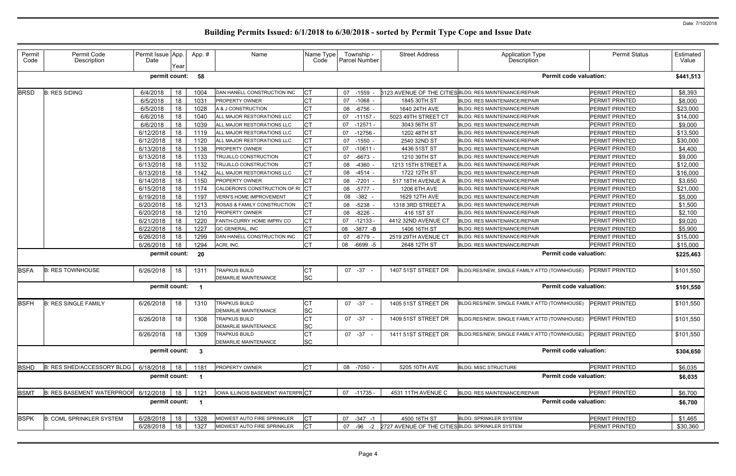| Permit<br>Code | Permit Code<br>Description        | Permit Issue App.<br>Date | Year | App.# | Name                             | Name Type<br>Code | Township -<br>Parcel Number | <b>Street Address</b>                            | <b>Application Type</b><br>Description                 | <b>Permit Status</b>  | Estimated<br>Value |
|----------------|-----------------------------------|---------------------------|------|-------|----------------------------------|-------------------|-----------------------------|--------------------------------------------------|--------------------------------------------------------|-----------------------|--------------------|
|                |                                   | permit count:             |      | 58    |                                  |                   |                             |                                                  | <b>Permit code valuation:</b>                          |                       | \$441,513          |
| <b>BRSD</b>    | <b>B: RES SIDING</b>              | 6/4/2018                  | 18   | 1004  | DAN HANELL CONSTRUCTION INC      | <b>CT</b>         | 07 -1559                    |                                                  | 3123 AVENUE OF THE CITIES BLDG: RES MAINTENANCE/REPAIR | PERMIT PRINTED        | \$8,393            |
|                |                                   | 6/5/2018                  | 18   | 1031  | PROPERTY OWNER                   | СT                | $-1068 -$<br>07             | 1845 30TH ST                                     | <b>BLDG: RES MAINTENANCE/REPAIR</b>                    | PERMIT PRINTED        | \$8,000            |
|                |                                   | 6/5/2018                  | 18   | 1028  | A & J CONSTRUCTION               |                   | $-6756$ -<br>08             | 1640 24TH AVE                                    | BLDG: RES MAINTENANCE/REPAIR                           | <b>PERMIT PRINTED</b> | \$23,000           |
|                |                                   | 6/6/2018                  | 18   | 1040  | ALL MAJOR RESTORATIONS LLC       | CT                | $-11157$<br>07              | 5023 49TH STREET CT                              | <b>BLDG: RES MAINTENANCE/REPAIR</b>                    | PERMIT PRINTED        | \$14,000           |
|                |                                   | 6/6/2018                  | 18   | 1039  | ALL MAJOR RESTORATIONS LLC       |                   | $-12571$<br>07              | 3043 56TH ST                                     | <b>BLDG: RES MAINTENANCE/REPAIR</b>                    | PERMIT PRINTED        | \$9,000            |
|                |                                   | 6/12/2018                 | 18   | 1119  | ALL MAJOR RESTORATIONS LLC       | СT                | 07<br>$-12756$              | 1202 48TH ST                                     | BLDG: RES MAINTENANCE/REPAIR                           | PERMIT PRINTED        | \$13,500           |
|                |                                   | 6/12/2018                 | 18   | 1120  | ALL MAJOR RESTORATIONS LLC       | СT                | $-1550$<br>07               | 2540 32ND ST                                     | <b>BLDG: RES MAINTENANCE/REPAIR</b>                    | PERMIT PRINTED        | \$30,000           |
|                |                                   | 6/13/2018                 | 18   | 1138  | PROPERTY OWNER                   |                   | $-10611 -$<br>07            | 4436 51ST ST                                     | <b>BLDG: RES MAINTENANCE/REPAIR</b>                    | PERMIT PRINTED        | \$4,400            |
|                |                                   | 6/13/2018                 | 18   | 1133  | TRUJILLO CONSTRUCTION            | СT                | 07<br>$-6673 -$             | 1210 39TH ST                                     | BLDG: RES MAINTENANCE/REPAIR                           | PERMIT PRINTED        | \$9,000            |
|                |                                   | 6/13/2018                 | 18   | 1132  | TRUJILLO CONSTRUCTION            | СT                | 08<br>-4360                 | 1213 15TH STREET A                               | <b>BLDG: RES MAINTENANCE/REPAIR</b>                    | PERMIT PRINTED        | \$12,000           |
|                |                                   | 6/13/2018                 | 18   | 1142  | ALL MAJOR RESTORATIONS LLC       | <b>CT</b>         | $-4514 -$<br>08             | 1722 12TH ST                                     | <b>BLDG: RES MAINTENANCE/REPAIR</b>                    | PERMIT PRINTED        | \$16,000           |
|                |                                   | 6/14/2018                 | 18   | 1150  | PROPERTY OWNER                   |                   | $-7201 -$<br>08             | 517 18TH AVENUE A                                | <b>BLDG: RES MAINTENANCE/REPAIR</b>                    | PERMIT PRINTED        | \$3,650            |
|                |                                   | 6/15/2018                 | 18   | 1174  | CALDERON'S CONSTRUCTION OF RI    | IСT               | 08 -5777 -                  | 1206 6TH AVE                                     | <b>BLDG: RES MAINTENANCE/REPAIR</b>                    | PERMIT PRINTED        | \$21,000           |
|                |                                   | 6/19/2018                 | 18   | 1197  | <b>VERN'S HOME IMPROVEMENT</b>   | СT                | $-382 -$<br>08              | 1629 12TH AVE                                    | <b>BLDG: RES MAINTENANCE/REPAIR</b>                    | PERMIT PRINTED        | \$5,000            |
|                |                                   | 6/20/2018                 | 18   | 1213  | ROSAS & FAMILY CONSTRUCTION      | СT                | $-5238$ -<br>08             | 1318 3RD STREET A                                | BLDG: RES MAINTENANCE/REPAIR                           | PERMIT PRINTED        | \$1,500            |
|                |                                   | 6/20/2018                 | 18   | 1210  | PROPERTY OWNER                   | СT                | $-8226$<br>08               | 416 1ST ST                                       | <b>BLDG: RES MAINTENANCE/REPAIR</b>                    | PERMIT PRINTED        | \$2,100            |
|                |                                   | 6/21/2018                 | 18   | 1220  | FANTH-CURRY HOME IMPRV CO        | СT                | $-12133$<br>07              | 4412 32ND AVENUE CT                              | <b>BLDG: RES MAINTENANCE/REPAIR</b>                    | <b>PERMIT PRINTED</b> | \$9,020            |
|                |                                   | 6/22/2018                 | 18   | 1227  | QC GENERAL, INC                  | СT                | $-3877 - B$<br>08           | 1406 16TH ST                                     | <b>BLDG: RES MAINTENANCE/REPAIR</b>                    | PERMIT PRINTED        | \$5,900            |
|                |                                   | 6/26/2018                 | 18   | 1299  | DAN HANELL CONSTRUCTION INC      | C <sub>T</sub>    | -6779 -<br>07               | 2519 29TH AVENUE CT                              | <b>BLDG: RES MAINTENANCE/REPAIR</b>                    | PERMIT PRINTED        | \$15,000           |
|                |                                   | 6/26/2018                 | 18   | 1294  | ACRI, INC.                       | <b>CT</b>         | 08<br>$-6699 - 5$           | 2648 12TH ST                                     | BLDG: RES MAINTENANCE/REPAIR                           | PERMIT PRINTED        | \$15,000           |
|                |                                   |                           |      |       |                                  |                   |                             |                                                  | <b>Permit code valuation:</b>                          |                       |                    |
|                |                                   | permit count:             |      | 20    |                                  |                   |                             |                                                  |                                                        |                       | \$225,463          |
| <b>BSFA</b>    | <b>B: RES TOWNHOUSE</b>           | 6/26/2018                 | 18   | 1311  | <b>TRAPKUS BUILD</b>             | IСТ               | 07 -37 -                    | 1407 51ST STREET DR                              | BLDG:RES/NEW, SINGLE FAMILY ATTD (TOWNHOUSE)           | PERMIT PRINTED        | \$101,550          |
|                |                                   |                           |      |       | <b>DEMARLIE MAINTENANCE</b>      | <b>SC</b>         |                             |                                                  |                                                        |                       |                    |
|                |                                   | permit count:             |      |       |                                  |                   |                             |                                                  | <b>Permit code valuation:</b>                          |                       | \$101,550          |
| <b>BSFH</b>    | <b>B: RES SINGLE FAMILY</b>       | 6/26/2018                 | 18   | 1310  | <b>TRAPKUS BUILD</b>             | СT                | 07 - 37 -                   | 1405 51ST STREET DR                              | BLDG:RES/NEW, SINGLE FAMILY ATTD (TOWNHOUSE)           | PERMIT PRINTED        | \$101,550          |
|                |                                   |                           |      |       | DEMARLIE MAINTENANCE             | <b>SC</b>         |                             |                                                  |                                                        |                       |                    |
|                |                                   | 6/26/2018                 | 18   | 1308  | <b>TRAPKUS BUILD</b>             | C <sub>T</sub>    | 07 - 37 -                   | 1409 51ST STREET DR                              | BLDG:RES/NEW, SINGLE FAMILY ATTD (TOWNHOUSE)           | <b>PERMIT PRINTED</b> | \$101,550          |
|                |                                   |                           |      |       | DEMARLIE MAINTENANCE             | SC                |                             |                                                  |                                                        |                       |                    |
|                |                                   | 6/26/2018                 | 18   | 1309  | <b>TRAPKUS BUILD</b>             | СT                | 07 - 37 -                   | 1411 51ST STREET DR                              | BLDG:RES/NEW, SINGLE FAMILY ATTD (TOWNHOUSE)           | PERMIT PRINTED        | \$101,550          |
|                |                                   |                           |      |       | DEMARLIE MAINTENANCE             | <b>SC</b>         |                             |                                                  |                                                        |                       |                    |
|                |                                   | permit count: 3           |      |       |                                  |                   |                             |                                                  | <b>Permit code valuation:</b>                          |                       | \$304,650          |
| <b>BSHD</b>    | B: RES SHED/ACCESSORY BLDG        | 6/18/2018                 | 18   | 1181  | PROPERTY OWNER                   | Iст               | 08 -7050 -                  | 5205 10TH AVE                                    | <b>BLDG: MISC STRUCTURE</b>                            | PERMIT PRINTED        | \$6,035            |
|                |                                   | permit count: 1           |      |       |                                  |                   |                             |                                                  | <b>Permit code valuation:</b>                          |                       |                    |
|                |                                   |                           |      |       |                                  |                   |                             |                                                  |                                                        |                       | \$6,035            |
| <b>BSMT</b>    | <b>B: RES BASEMENT WATERPROOF</b> | 6/12/2018                 | 18   | 1121  | IOWA ILLINOIS BASEMENT WATERPRCT |                   | 07 -11735 -                 | 4531 11TH AVENUE C                               | BLDG: RES MAINTENANCE/REPAIR                           | PERMIT PRINTED        | \$6,700            |
|                |                                   | permit count: 1           |      |       |                                  |                   |                             |                                                  | <b>Permit code valuation:</b>                          |                       | \$6,700            |
| <b>BSPK</b>    | <b>B: COML SPRINKLER SYSTEM</b>   | 6/28/2018                 | 18   | 1328  | MIDWEST AUTO FIRE SPRINKLER      | <b>CT</b>         | 07 -347 -1                  | 4500 16TH ST                                     | <b>BLDG: SPRINKLER SYSTEM</b>                          | PERMIT PRINTED        | \$1,465            |
|                |                                   | 6/28/2018                 | 18   | 1327  | MIDWEST AUTO FIRE SPRINKLER      | <b>CT</b>         | 07 -96 -2                   | 2727 AVENUE OF THE CITIES BLDG: SPRINKLER SYSTEM |                                                        | PERMIT PRINTED        | \$30,360           |
|                |                                   |                           |      |       |                                  |                   |                             |                                                  |                                                        |                       |                    |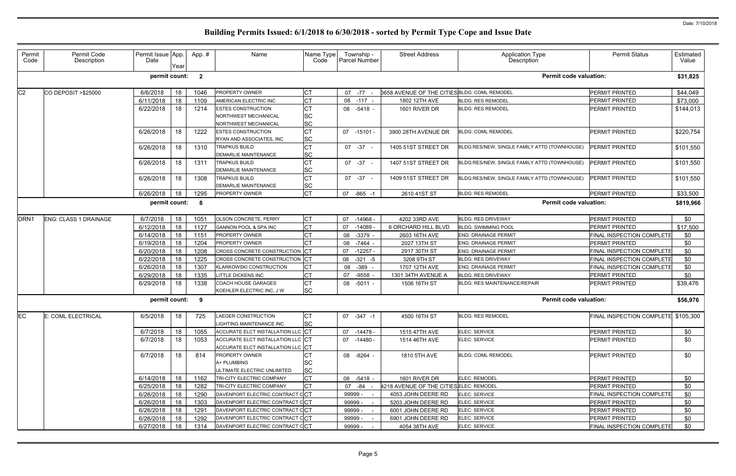| Permit<br>Code   | Permit Code<br>Description | Permit Issue App.<br>Date | Year | App.#          | Name                                                                   | Name Type<br>Code      |    | Township -<br>Parcel Number | <b>Street Address</b>                        | <b>Application Type</b><br>Description       | <b>Permit Status</b>                | Estimated<br>Value |
|------------------|----------------------------|---------------------------|------|----------------|------------------------------------------------------------------------|------------------------|----|-----------------------------|----------------------------------------------|----------------------------------------------|-------------------------------------|--------------------|
|                  |                            | permit count:             |      | $\overline{2}$ |                                                                        |                        |    |                             |                                              | <b>Permit code valuation:</b>                |                                     | \$31,825           |
| C <sub>2</sub>   | CO DEPOSIT > \$25000       | 6/6/2018                  | 18   | 1046           | <b>PROPERTY OWNER</b>                                                  | <b>CT</b>              |    | 07 -77                      | 3658 AVENUE OF THE CITIES BLDG: COML REMODEL |                                              | PERMIT PRINTED                      | \$44,049           |
|                  |                            | 6/11/2018                 | 18   | 1109           | AMERICAN ELECTRIC INC                                                  | <b>CT</b>              |    | 08 -117                     | 1802 12TH AVE                                | <b>BLDG: RES REMODEL</b>                     | PERMIT PRINTED                      | \$73,000           |
|                  |                            | 6/22/2018                 | 18   | 1214           | <b>ESTES CONSTRUCTION</b>                                              | <b>CT</b>              |    | 08 -5418 -                  | 1601 RIVER DR                                | <b>BLDG: RES REMODEL</b>                     | <b>PERMIT PRINTED</b>               | \$144,013          |
|                  |                            |                           |      |                | NORTHWEST MECHANICAL                                                   | <b>SC</b>              |    |                             |                                              |                                              |                                     |                    |
|                  |                            |                           |      |                | NORTHWEST MECHANICAL                                                   | <b>SC</b>              |    |                             |                                              |                                              |                                     |                    |
|                  |                            | 6/26/2018                 | 18   | 1222           | <b>ESTES CONSTRUCTION</b><br>RYAN AND ASSOCIATES, INC                  | <b>CT</b><br><b>SC</b> |    | 07 -15101 -                 | 3900 28TH AVENUE DR                          | <b>BLDG: COML REMODEL</b>                    | <b>PERMIT PRINTED</b>               | \$220,754          |
|                  |                            | 6/26/2018                 | 18   | 1310           | <b>TRAPKUS BUILD</b>                                                   | <b>CT</b>              |    | 07 - 37 -                   | 1405 51ST STREET DR                          | BLDG:RES/NEW, SINGLE FAMILY ATTD (TOWNHOUSE) | <b>PERMIT PRINTED</b>               | \$101,550          |
|                  |                            |                           |      |                | <b>DEMARLIE MAINTENANCE</b>                                            | <b>SC</b>              |    |                             |                                              |                                              |                                     |                    |
|                  |                            | 6/26/2018                 | 18   | 1311           | <b>TRAPKUS BUILD</b>                                                   | <b>CT</b>              |    | 07 - 37 -                   | 1407 51ST STREET DR                          | BLDG:RES/NEW, SINGLE FAMILY ATTD (TOWNHOUSE) | <b>PERMIT PRINTED</b>               | \$101,550          |
|                  |                            |                           |      |                | <b>DEMARLIE MAINTENANCE</b>                                            | <b>SC</b>              |    |                             |                                              |                                              |                                     |                    |
|                  |                            | 6/26/2018                 | 18   | 1308           | <b>TRAPKUS BUILD</b>                                                   | СT                     |    | 07 - 37 -                   | 1409 51ST STREET DR                          | BLDG:RES/NEW, SINGLE FAMILY ATTD (TOWNHOUSE) | <b>PERMIT PRINTED</b>               | \$101,550          |
|                  |                            |                           |      |                | <b>DEMARLIE MAINTENANCE</b>                                            | <b>SC</b>              |    |                             |                                              |                                              |                                     |                    |
|                  |                            | 6/26/2018                 | 18   | 1295           | PROPERTY OWNER                                                         | <b>CT</b>              | 07 | $-865 - 1$                  | 2610 41ST ST                                 | <b>BLDG: RES REMODEL</b>                     | <b>PERMIT PRINTED</b>               | \$33,500           |
|                  |                            | permit count:             |      | 8              |                                                                        |                        |    |                             |                                              | <b>Permit code valuation:</b>                |                                     | \$819,966          |
| DRN <sub>1</sub> | ENG: CLASS 1 DRAINAGE      | 6/7/2018                  | 18   | 1051           | OLSON CONCRETE, PERRY                                                  | <b>CT</b>              | 07 | $-14968$                    | 4202 33RD AVE                                | <b>BLDG: RES DRIVEWAY</b>                    | PERMIT PRINTED                      | \$0                |
|                  |                            | 6/12/2018                 | 18   | 1127           | <b>GANNON POOL &amp; SPA INC</b>                                       | <b>CT</b>              | 07 | $-14089$                    | 6 ORCHARD HILL BLVD                          | <b>BLDG: SWIMMING POOL</b>                   | <b>PERMIT PRINTED</b>               | \$17,500           |
|                  |                            | 6/14/2018                 | 18   | 1151           | <b>PROPERTY OWNER</b>                                                  | <b>CT</b>              | 08 | $-3379 -$                   | 2603 16TH AVE                                | <b>ENG: DRAINAGE PERMIT</b>                  | FINAL INSPECTION COMPLETE           | \$0                |
|                  |                            | 6/19/2018                 | 18   | 1204           | PROPERTY OWNER                                                         | <b>CT</b>              |    | 08 -7464 -                  | 2027 13TH ST                                 | <b>ENG: DRAINAGE PERMIT</b>                  | <b>PERMIT PRINTED</b>               | \$0                |
|                  |                            | 6/20/2018                 | 18   | 1208           | CROSS CONCRETE CONSTRUCTION CT                                         |                        | 07 | $-12257$                    | 2917 30TH ST                                 | <b>ENG: DRAINAGE PERMIT</b>                  | FINAL INSPECTION COMPLETE           | \$0                |
|                  |                            | 6/22/2018                 | 18   | 1225           | CROSS CONCRETE CONSTRUCTION CT                                         |                        | 80 | $-321 - 5$                  | 3208 9TH ST                                  | <b>BLDG: RES DRIVEWAY</b>                    | FINAL INSPECTION COMPLETE           | \$0                |
|                  |                            | 6/26/2018                 | 18   | 1307           | <b>KLARKOWSKI CONSTRUCTION</b>                                         | <b>CT</b>              | 08 | $-389$                      | 1707 12TH AVE                                | <b>ENG: DRAINAGE PERMIT</b>                  | FINAL INSPECTION COMPLETE           | \$0                |
|                  |                            | 6/29/2018                 | 18   | 1335           | LITTLE DICKENS INC                                                     | <b>CT</b>              | 07 | -9558                       | 1301 34TH AVENUE A                           | <b>BLDG: RES DRIVEWAY</b>                    | PERMIT PRINTED                      | \$0                |
|                  |                            | 6/29/2018                 | 18   | 1338           | <b>COACH HOUSE GARAGES</b><br>KOEHLER ELECTRIC INC, J W                | <b>CT</b><br><b>SC</b> | 08 | $-5011 -$                   | 1506 16TH ST                                 | <b>BLDG: RES MAINTENANCE/REPAIR</b>          | <b>PERMIT PRINTED</b>               | \$39,476           |
|                  |                            | permit count:             |      | - 9            |                                                                        |                        |    |                             |                                              | <b>Permit code valuation:</b>                |                                     | \$56,976           |
|                  |                            |                           |      |                |                                                                        |                        |    |                             |                                              |                                              |                                     |                    |
| lco.             | E: COML ELECTRICAL         | 6/5/2018                  | 18   | 725            | LAEGER CONSTRUCTION<br>LIGHTING MAINTENANCE INC                        | <b>CT</b><br><b>SC</b> |    | 07 -347 -1                  | 4500 16TH ST                                 | <b>BLDG: RES REMODEL</b>                     | FINAL INSPECTION COMPLETE \$105,300 |                    |
|                  |                            | 6/7/2018                  | 18   | 1055           | ACCURATE ELCT INSTALLATION LLC CT                                      |                        | 07 | -14478 -                    | 1515 47TH AVE                                | ELEC: SERVICE                                | PERMIT PRINTED                      | \$0                |
|                  |                            | 6/7/2018                  | 18   | 1053           | ACCURATE ELCT INSTALLATION LLC CT<br>ACCURATE ELCT INSTALLATION LLC CT |                        |    | 07 -14480 -                 | 1514 46TH AVE                                | <b>ELEC: SERVICE</b>                         | <b>PERMIT PRINTED</b>               | \$0                |
|                  |                            | 6/7/2018                  | 18   | 814            | <b>PROPERTY OWNER</b>                                                  | <b>CT</b>              |    | 08 -8264 -                  | 1810 5TH AVE                                 | <b>BLDG: COML REMODEL</b>                    | <b>PERMIT PRINTED</b>               | \$0                |
|                  |                            |                           |      |                | A+ PLUMBING                                                            | SC                     |    |                             |                                              |                                              |                                     |                    |
|                  |                            |                           |      |                | ULTIMATE ELECTRIC UNLIMITED                                            | <b>SC</b>              |    |                             |                                              |                                              |                                     |                    |
|                  |                            | 6/14/2018                 | 18   | 1162           | <b>TRI-CITY ELECTRIC COMPANY</b>                                       | <b>CT</b>              |    | 08 -5418 -                  | 1601 RIVER DR                                | <b>ELEC: REMODEL</b>                         | PERMIT PRINTED                      | \$0                |
|                  |                            | 6/25/2018                 | 18   | 1282           | TRI-CITY ELECTRIC COMPANY                                              | <b>CT</b>              |    | 07 -84 -                    | 4218 AVENUE OF THE CITIES ELEC: REMODEL      |                                              | PERMIT PRINTED                      | \$0                |
|                  |                            | 6/26/2018                 | 18   | 1290           | DAVENPORT ELECTRIC CONTRACT CCT                                        |                        |    | 99999 -                     | 4053 JOHN DEERE RD                           | ELEC: SERVICE                                | <b>FINAL INSPECTION COMPLETE</b>    | \$0                |
|                  |                            | 6/26/2018                 | 18   | 1303           | DAVENPORT ELECTRIC CONTRACT CCT                                        |                        |    | 99999 -                     | 5203 JOHN DEERE RD                           | <b>ELEC: SERVICE</b>                         | PERMIT PRINTED                      | \$0                |
|                  |                            | 6/26/2018                 | 18   | 1291           | DAVENPORT ELECTRIC CONTRACT CCT                                        |                        |    | 99999 -                     | 6001 JOHN DEERE RD                           | ELEC: SERVICE                                | PERMIT PRINTED                      | \$0                |
|                  |                            | 6/26/2018                 | 18   | 1292           | DAVENPORT ELECTRIC CONTRACT CCT                                        |                        |    | 99999 -                     | 6901 JOHN DEERE RD                           | <b>ELEC: SERVICE</b>                         | PERMIT PRINTED                      | \$0                |
|                  |                            | 6/27/2018                 | 18   | 1314           | DAVENPORT ELECTRIC CONTRACT CCT                                        |                        |    | 99999 -                     | 4054 38TH AVE                                | ELEC: SERVICE                                | <b>FINAL INSPECTION COMPLETE</b>    | \$0                |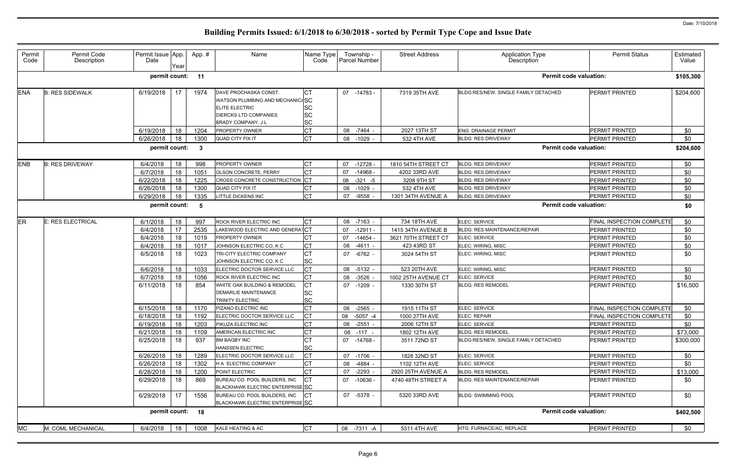| permit count:<br>11<br>Iст<br><b>ENA</b><br>6/19/2018<br><b>B: RES SIDEWALK</b><br>17<br>DAVE PROCHASKA CONST.<br>07 -14783 -<br>7319 35TH AVE<br>BLDG:RES/NEW, SINGLE FAMILY DETACHED<br>1974<br>WATSON PLUMBING AND MECHANIC/SC<br><b>SC</b><br><b>ELITE ELECTRIC</b><br><b>SC</b><br><b>DIERCKS LTD COMPANIES</b><br><b>SC</b><br>BRADY COMPANY, J L<br><b>CT</b><br>6/19/2018<br>18<br>1204<br>PROPERTY OWNER<br>08 -7464 -<br>2027 13TH ST<br><b>ENG: DRAINAGE PERMIT</b><br>Iст<br>6/26/2018<br>18<br>1300<br>08 -1029<br>532 4TH AVE<br>QUAD CITY FIX IT<br><b>BLDG: RES DRIVEWAY</b><br>permit count:<br>-3<br><b>CT</b><br><b>ENB</b><br>PROPERTY OWNER<br><b>B: RES DRIVEWAY</b><br>6/4/2018<br>18<br>998<br>07<br>-12728 -<br>1810 54TH STREET CT<br><b>BLDG: RES DRIVEWAY</b><br>lст<br>18<br>07<br>$-14968 -$<br>6/7/2018<br>1051<br><b>OLSON CONCRETE, PERRY</b><br>4202 33RD AVE<br><b>BLDG: RES DRIVEWAY</b><br>CROSS CONCRETE CONSTRUCTION CT<br>6/22/2018<br>18<br>1225<br>$-321 - 5$<br><b>BLDG: RES DRIVEWAY</b><br>08<br>3208 9TH ST<br>6/26/2018<br>18<br>1300<br><b>QUAD CITY FIX IT</b><br>$-1029 -$<br>08<br>532 4TH AVE<br><b>BLDG: RES DRIVEWAY</b><br><b>CT</b><br>6/29/2018<br>18<br>1335<br><b>ITTLE DICKENS INC</b><br>$-9558$<br><b>BLDG: RES DRIVEWAY</b><br>07<br>1301 34TH AVENUE A<br>permit count:<br>-5<br>ER<br><b>CT</b><br><b>E: RES ELECTRICAL</b><br>6/1/2018<br>18<br>997<br>ROCK RIVER ELECTRIC INC<br>08 -7163 -<br>734 18TH AVE<br>ELEC: SERVICE<br>AKEWOOD ELECTRIC AND GENERATCT<br>17<br>6/4/2018<br>2535<br>07<br>-12911 -<br>1415 34TH AVENUE B<br><b>BLDG: RES MAINTENANCE/REPAIR</b><br><b>CT</b><br>18<br>1019<br>$-14654$<br>6/4/2018<br><b>PROPERTY OWNER</b><br>07<br>3621 70TH STREET CT<br>ELEC: SERVICE<br><b>CT</b><br>18<br>6/4/2018<br>1017<br>JOHNSON ELECTRIC CO, K C<br>$-4611 -$<br>ELEC: WIRING, MISC<br>08<br>423 43RD ST<br><b>CT</b><br>6/5/2018<br>1023<br>TRI-CITY ELECTRIC COMPANY<br>18<br>07 -6762 -<br>3024 54TH ST<br>ELEC: WIRING, MISC<br><b>SC</b><br>JOHNSON ELECTRIC CO, K C<br>lст<br>18<br>523 20TH AVE<br>ELEC: WIRING, MISC<br>6/6/2018<br>1033<br>ELECTRIC DOCTOR SERVICE LLC<br>08<br>$-5132 -$<br><b>CT</b><br>6/7/2018<br>18<br>1056<br>$-3526$<br>08<br>1002 25TH AVENUE CT<br><b>ELEC: SERVICE</b><br><b>ROCK RIVER ELECTRIC INC</b><br>Iст<br>18<br>WHITE OAK BUILDING & REMODEL<br>6/11/2018<br>854<br>07 -1209 -<br>1330 30TH ST<br><b>BLDG: RES REMODEL</b><br><b>SC</b><br><b>DEMARLIE MAINTENANCE</b><br><b>SC</b><br><b>TRINITY ELECTRIC</b><br><b>CT</b><br>6/15/2018<br>18<br>ELEC: SERVICE<br>1170<br>PIZANO ELECTRIC INC<br>08 -2565 -<br>1915 11TH ST | <b>Permit code valuation:</b><br><b>PERMIT PRINTED</b><br><b>PERMIT PRINTED</b><br><b>PERMIT PRINTED</b><br><b>Permit code valuation:</b><br>PERMIT PRINTED<br><b>PERMIT PRINTED</b><br><b>PERMIT PRINTED</b><br><b>PERMIT PRINTED</b><br><b>PERMIT PRINTED</b><br><b>Permit code valuation:</b><br><b>FINAL INSPECTION COMPLETE</b><br><b>PERMIT PRINTED</b><br>PERMIT PRINTED | \$105,300<br>\$204,600<br>\$0<br>\$0<br>\$204,600<br>\$0<br>\$0<br>\$0<br>\$0<br>\$0<br>\$0<br>\$0<br>\$0 |
|-----------------------------------------------------------------------------------------------------------------------------------------------------------------------------------------------------------------------------------------------------------------------------------------------------------------------------------------------------------------------------------------------------------------------------------------------------------------------------------------------------------------------------------------------------------------------------------------------------------------------------------------------------------------------------------------------------------------------------------------------------------------------------------------------------------------------------------------------------------------------------------------------------------------------------------------------------------------------------------------------------------------------------------------------------------------------------------------------------------------------------------------------------------------------------------------------------------------------------------------------------------------------------------------------------------------------------------------------------------------------------------------------------------------------------------------------------------------------------------------------------------------------------------------------------------------------------------------------------------------------------------------------------------------------------------------------------------------------------------------------------------------------------------------------------------------------------------------------------------------------------------------------------------------------------------------------------------------------------------------------------------------------------------------------------------------------------------------------------------------------------------------------------------------------------------------------------------------------------------------------------------------------------------------------------------------------------------------------------------------------------------------------------------------------------------------------------------------------------------------------------------------------------------------------------------------------------------------------------------------------------------------------------------------|---------------------------------------------------------------------------------------------------------------------------------------------------------------------------------------------------------------------------------------------------------------------------------------------------------------------------------------------------------------------------------|-----------------------------------------------------------------------------------------------------------|
|                                                                                                                                                                                                                                                                                                                                                                                                                                                                                                                                                                                                                                                                                                                                                                                                                                                                                                                                                                                                                                                                                                                                                                                                                                                                                                                                                                                                                                                                                                                                                                                                                                                                                                                                                                                                                                                                                                                                                                                                                                                                                                                                                                                                                                                                                                                                                                                                                                                                                                                                                                                                                                                                 |                                                                                                                                                                                                                                                                                                                                                                                 |                                                                                                           |
|                                                                                                                                                                                                                                                                                                                                                                                                                                                                                                                                                                                                                                                                                                                                                                                                                                                                                                                                                                                                                                                                                                                                                                                                                                                                                                                                                                                                                                                                                                                                                                                                                                                                                                                                                                                                                                                                                                                                                                                                                                                                                                                                                                                                                                                                                                                                                                                                                                                                                                                                                                                                                                                                 |                                                                                                                                                                                                                                                                                                                                                                                 |                                                                                                           |
|                                                                                                                                                                                                                                                                                                                                                                                                                                                                                                                                                                                                                                                                                                                                                                                                                                                                                                                                                                                                                                                                                                                                                                                                                                                                                                                                                                                                                                                                                                                                                                                                                                                                                                                                                                                                                                                                                                                                                                                                                                                                                                                                                                                                                                                                                                                                                                                                                                                                                                                                                                                                                                                                 |                                                                                                                                                                                                                                                                                                                                                                                 |                                                                                                           |
|                                                                                                                                                                                                                                                                                                                                                                                                                                                                                                                                                                                                                                                                                                                                                                                                                                                                                                                                                                                                                                                                                                                                                                                                                                                                                                                                                                                                                                                                                                                                                                                                                                                                                                                                                                                                                                                                                                                                                                                                                                                                                                                                                                                                                                                                                                                                                                                                                                                                                                                                                                                                                                                                 |                                                                                                                                                                                                                                                                                                                                                                                 |                                                                                                           |
|                                                                                                                                                                                                                                                                                                                                                                                                                                                                                                                                                                                                                                                                                                                                                                                                                                                                                                                                                                                                                                                                                                                                                                                                                                                                                                                                                                                                                                                                                                                                                                                                                                                                                                                                                                                                                                                                                                                                                                                                                                                                                                                                                                                                                                                                                                                                                                                                                                                                                                                                                                                                                                                                 |                                                                                                                                                                                                                                                                                                                                                                                 |                                                                                                           |
|                                                                                                                                                                                                                                                                                                                                                                                                                                                                                                                                                                                                                                                                                                                                                                                                                                                                                                                                                                                                                                                                                                                                                                                                                                                                                                                                                                                                                                                                                                                                                                                                                                                                                                                                                                                                                                                                                                                                                                                                                                                                                                                                                                                                                                                                                                                                                                                                                                                                                                                                                                                                                                                                 |                                                                                                                                                                                                                                                                                                                                                                                 |                                                                                                           |
|                                                                                                                                                                                                                                                                                                                                                                                                                                                                                                                                                                                                                                                                                                                                                                                                                                                                                                                                                                                                                                                                                                                                                                                                                                                                                                                                                                                                                                                                                                                                                                                                                                                                                                                                                                                                                                                                                                                                                                                                                                                                                                                                                                                                                                                                                                                                                                                                                                                                                                                                                                                                                                                                 |                                                                                                                                                                                                                                                                                                                                                                                 |                                                                                                           |
|                                                                                                                                                                                                                                                                                                                                                                                                                                                                                                                                                                                                                                                                                                                                                                                                                                                                                                                                                                                                                                                                                                                                                                                                                                                                                                                                                                                                                                                                                                                                                                                                                                                                                                                                                                                                                                                                                                                                                                                                                                                                                                                                                                                                                                                                                                                                                                                                                                                                                                                                                                                                                                                                 |                                                                                                                                                                                                                                                                                                                                                                                 |                                                                                                           |
|                                                                                                                                                                                                                                                                                                                                                                                                                                                                                                                                                                                                                                                                                                                                                                                                                                                                                                                                                                                                                                                                                                                                                                                                                                                                                                                                                                                                                                                                                                                                                                                                                                                                                                                                                                                                                                                                                                                                                                                                                                                                                                                                                                                                                                                                                                                                                                                                                                                                                                                                                                                                                                                                 |                                                                                                                                                                                                                                                                                                                                                                                 |                                                                                                           |
|                                                                                                                                                                                                                                                                                                                                                                                                                                                                                                                                                                                                                                                                                                                                                                                                                                                                                                                                                                                                                                                                                                                                                                                                                                                                                                                                                                                                                                                                                                                                                                                                                                                                                                                                                                                                                                                                                                                                                                                                                                                                                                                                                                                                                                                                                                                                                                                                                                                                                                                                                                                                                                                                 |                                                                                                                                                                                                                                                                                                                                                                                 |                                                                                                           |
|                                                                                                                                                                                                                                                                                                                                                                                                                                                                                                                                                                                                                                                                                                                                                                                                                                                                                                                                                                                                                                                                                                                                                                                                                                                                                                                                                                                                                                                                                                                                                                                                                                                                                                                                                                                                                                                                                                                                                                                                                                                                                                                                                                                                                                                                                                                                                                                                                                                                                                                                                                                                                                                                 |                                                                                                                                                                                                                                                                                                                                                                                 |                                                                                                           |
|                                                                                                                                                                                                                                                                                                                                                                                                                                                                                                                                                                                                                                                                                                                                                                                                                                                                                                                                                                                                                                                                                                                                                                                                                                                                                                                                                                                                                                                                                                                                                                                                                                                                                                                                                                                                                                                                                                                                                                                                                                                                                                                                                                                                                                                                                                                                                                                                                                                                                                                                                                                                                                                                 |                                                                                                                                                                                                                                                                                                                                                                                 |                                                                                                           |
|                                                                                                                                                                                                                                                                                                                                                                                                                                                                                                                                                                                                                                                                                                                                                                                                                                                                                                                                                                                                                                                                                                                                                                                                                                                                                                                                                                                                                                                                                                                                                                                                                                                                                                                                                                                                                                                                                                                                                                                                                                                                                                                                                                                                                                                                                                                                                                                                                                                                                                                                                                                                                                                                 |                                                                                                                                                                                                                                                                                                                                                                                 |                                                                                                           |
|                                                                                                                                                                                                                                                                                                                                                                                                                                                                                                                                                                                                                                                                                                                                                                                                                                                                                                                                                                                                                                                                                                                                                                                                                                                                                                                                                                                                                                                                                                                                                                                                                                                                                                                                                                                                                                                                                                                                                                                                                                                                                                                                                                                                                                                                                                                                                                                                                                                                                                                                                                                                                                                                 |                                                                                                                                                                                                                                                                                                                                                                                 | \$0                                                                                                       |
|                                                                                                                                                                                                                                                                                                                                                                                                                                                                                                                                                                                                                                                                                                                                                                                                                                                                                                                                                                                                                                                                                                                                                                                                                                                                                                                                                                                                                                                                                                                                                                                                                                                                                                                                                                                                                                                                                                                                                                                                                                                                                                                                                                                                                                                                                                                                                                                                                                                                                                                                                                                                                                                                 | <b>PERMIT PRINTED</b>                                                                                                                                                                                                                                                                                                                                                           | \$0                                                                                                       |
|                                                                                                                                                                                                                                                                                                                                                                                                                                                                                                                                                                                                                                                                                                                                                                                                                                                                                                                                                                                                                                                                                                                                                                                                                                                                                                                                                                                                                                                                                                                                                                                                                                                                                                                                                                                                                                                                                                                                                                                                                                                                                                                                                                                                                                                                                                                                                                                                                                                                                                                                                                                                                                                                 | <b>PERMIT PRINTED</b>                                                                                                                                                                                                                                                                                                                                                           | \$0                                                                                                       |
|                                                                                                                                                                                                                                                                                                                                                                                                                                                                                                                                                                                                                                                                                                                                                                                                                                                                                                                                                                                                                                                                                                                                                                                                                                                                                                                                                                                                                                                                                                                                                                                                                                                                                                                                                                                                                                                                                                                                                                                                                                                                                                                                                                                                                                                                                                                                                                                                                                                                                                                                                                                                                                                                 | PERMIT PRINTED                                                                                                                                                                                                                                                                                                                                                                  | \$0                                                                                                       |
|                                                                                                                                                                                                                                                                                                                                                                                                                                                                                                                                                                                                                                                                                                                                                                                                                                                                                                                                                                                                                                                                                                                                                                                                                                                                                                                                                                                                                                                                                                                                                                                                                                                                                                                                                                                                                                                                                                                                                                                                                                                                                                                                                                                                                                                                                                                                                                                                                                                                                                                                                                                                                                                                 | <b>PERMIT PRINTED</b>                                                                                                                                                                                                                                                                                                                                                           | \$0                                                                                                       |
|                                                                                                                                                                                                                                                                                                                                                                                                                                                                                                                                                                                                                                                                                                                                                                                                                                                                                                                                                                                                                                                                                                                                                                                                                                                                                                                                                                                                                                                                                                                                                                                                                                                                                                                                                                                                                                                                                                                                                                                                                                                                                                                                                                                                                                                                                                                                                                                                                                                                                                                                                                                                                                                                 | <b>PERMIT PRINTED</b>                                                                                                                                                                                                                                                                                                                                                           | \$16,500                                                                                                  |
|                                                                                                                                                                                                                                                                                                                                                                                                                                                                                                                                                                                                                                                                                                                                                                                                                                                                                                                                                                                                                                                                                                                                                                                                                                                                                                                                                                                                                                                                                                                                                                                                                                                                                                                                                                                                                                                                                                                                                                                                                                                                                                                                                                                                                                                                                                                                                                                                                                                                                                                                                                                                                                                                 | <b>FINAL INSPECTION COMPLETE</b>                                                                                                                                                                                                                                                                                                                                                | \$0                                                                                                       |
| <b>CT</b><br>18<br>6/18/2018<br>1192<br>ELECTRIC DOCTOR SERVICE LLC<br>08 -5057 -4<br>ELEC: REPAIR<br>1000 27TH AVE                                                                                                                                                                                                                                                                                                                                                                                                                                                                                                                                                                                                                                                                                                                                                                                                                                                                                                                                                                                                                                                                                                                                                                                                                                                                                                                                                                                                                                                                                                                                                                                                                                                                                                                                                                                                                                                                                                                                                                                                                                                                                                                                                                                                                                                                                                                                                                                                                                                                                                                                             | FINAL INSPECTION COMPLETE                                                                                                                                                                                                                                                                                                                                                       | \$0                                                                                                       |
| <b>CT</b><br>18<br>6/19/2018<br>1203<br>PIKUZA ELECTRIC INC<br>08 -2551 -<br>2006 12TH ST<br><b>ELEC: SERVICE</b>                                                                                                                                                                                                                                                                                                                                                                                                                                                                                                                                                                                                                                                                                                                                                                                                                                                                                                                                                                                                                                                                                                                                                                                                                                                                                                                                                                                                                                                                                                                                                                                                                                                                                                                                                                                                                                                                                                                                                                                                                                                                                                                                                                                                                                                                                                                                                                                                                                                                                                                                               | <b>PERMIT PRINTED</b>                                                                                                                                                                                                                                                                                                                                                           | \$0                                                                                                       |
| <b>CT</b><br>6/21/2018<br>18<br>AMERICAN ELECTRIC INC<br>1109<br>08 -117 -<br>1802 12TH AVE<br><b>BLDG: RES REMODEL</b>                                                                                                                                                                                                                                                                                                                                                                                                                                                                                                                                                                                                                                                                                                                                                                                                                                                                                                                                                                                                                                                                                                                                                                                                                                                                                                                                                                                                                                                                                                                                                                                                                                                                                                                                                                                                                                                                                                                                                                                                                                                                                                                                                                                                                                                                                                                                                                                                                                                                                                                                         | <b>PERMIT PRINTED</b>                                                                                                                                                                                                                                                                                                                                                           | \$73,000                                                                                                  |
| <b>CT</b><br>6/25/2018<br>18<br>937<br>07 -14768 -<br><b>BM BAGBY INC</b><br>3511 72ND ST<br>BLDG:RES/NEW, SINGLE FAMILY DETACHED<br>SC<br><b>HANSSEN ELECTRIC</b>                                                                                                                                                                                                                                                                                                                                                                                                                                                                                                                                                                                                                                                                                                                                                                                                                                                                                                                                                                                                                                                                                                                                                                                                                                                                                                                                                                                                                                                                                                                                                                                                                                                                                                                                                                                                                                                                                                                                                                                                                                                                                                                                                                                                                                                                                                                                                                                                                                                                                              | <b>PERMIT PRINTED</b>                                                                                                                                                                                                                                                                                                                                                           | \$300,000                                                                                                 |
| lст<br>18<br>ELEC: SERVICE<br>6/26/2018<br>1289<br>ELECTRIC DOCTOR SERVICE LLC<br>1828 32ND ST<br>07 -1706 -                                                                                                                                                                                                                                                                                                                                                                                                                                                                                                                                                                                                                                                                                                                                                                                                                                                                                                                                                                                                                                                                                                                                                                                                                                                                                                                                                                                                                                                                                                                                                                                                                                                                                                                                                                                                                                                                                                                                                                                                                                                                                                                                                                                                                                                                                                                                                                                                                                                                                                                                                    | PERMIT PRINTED                                                                                                                                                                                                                                                                                                                                                                  | \$0                                                                                                       |
| <b>CT</b><br>6/26/2018<br>18<br>1302<br>-4884 -<br>1102 12TH AVE<br>ELEC: SERVICE<br>H A ELECTRIC COMPANY<br>08                                                                                                                                                                                                                                                                                                                                                                                                                                                                                                                                                                                                                                                                                                                                                                                                                                                                                                                                                                                                                                                                                                                                                                                                                                                                                                                                                                                                                                                                                                                                                                                                                                                                                                                                                                                                                                                                                                                                                                                                                                                                                                                                                                                                                                                                                                                                                                                                                                                                                                                                                 | <b>PERMIT PRINTED</b>                                                                                                                                                                                                                                                                                                                                                           | \$0                                                                                                       |
| <b>CT</b><br>18<br>POINT ELECTRIC<br>6/28/2018<br>1200<br>$-2293 -$<br>2920 25TH AVENUE A<br><b>BLDG: RES REMODEL</b><br>07                                                                                                                                                                                                                                                                                                                                                                                                                                                                                                                                                                                                                                                                                                                                                                                                                                                                                                                                                                                                                                                                                                                                                                                                                                                                                                                                                                                                                                                                                                                                                                                                                                                                                                                                                                                                                                                                                                                                                                                                                                                                                                                                                                                                                                                                                                                                                                                                                                                                                                                                     | PERMIT PRINTED                                                                                                                                                                                                                                                                                                                                                                  | \$13,000                                                                                                  |
| CT<br>6/29/2018<br>18<br>07 -10636 -<br>869<br>BUREAU CO. POOL BUILDERS, INC<br>4740 48TH STREET A<br><b>BLDG: RES MAINTENANCE/REPAIR</b><br><b>BLACKHAWK ELECTRIC ENTERPRISE SC</b>                                                                                                                                                                                                                                                                                                                                                                                                                                                                                                                                                                                                                                                                                                                                                                                                                                                                                                                                                                                                                                                                                                                                                                                                                                                                                                                                                                                                                                                                                                                                                                                                                                                                                                                                                                                                                                                                                                                                                                                                                                                                                                                                                                                                                                                                                                                                                                                                                                                                            | <b>PERMIT PRINTED</b>                                                                                                                                                                                                                                                                                                                                                           | \$0                                                                                                       |
| 17<br><b>ICT</b><br>6/29/2018<br>1556<br>BUREAU CO. POOL BUILDERS, INC<br>07 -5378 -<br>5320 33RD AVE<br><b>BLDG: SWIMMING POOL</b><br>BLACKHAWK ELECTRIC ENTERPRISE SC                                                                                                                                                                                                                                                                                                                                                                                                                                                                                                                                                                                                                                                                                                                                                                                                                                                                                                                                                                                                                                                                                                                                                                                                                                                                                                                                                                                                                                                                                                                                                                                                                                                                                                                                                                                                                                                                                                                                                                                                                                                                                                                                                                                                                                                                                                                                                                                                                                                                                         | <b>PERMIT PRINTED</b>                                                                                                                                                                                                                                                                                                                                                           | \$0                                                                                                       |
| permit count: 18                                                                                                                                                                                                                                                                                                                                                                                                                                                                                                                                                                                                                                                                                                                                                                                                                                                                                                                                                                                                                                                                                                                                                                                                                                                                                                                                                                                                                                                                                                                                                                                                                                                                                                                                                                                                                                                                                                                                                                                                                                                                                                                                                                                                                                                                                                                                                                                                                                                                                                                                                                                                                                                | <b>Permit code valuation:</b>                                                                                                                                                                                                                                                                                                                                                   | \$402,500                                                                                                 |
| <b>CT</b><br><b>MC</b><br>M: COML MECHANICAL<br>6/4/2018<br>18<br>1008<br>KALE HEATING & AC<br>08 -7311 -A<br>5311 4TH AVE<br>HTG: FURNACE/AC, REPLACE                                                                                                                                                                                                                                                                                                                                                                                                                                                                                                                                                                                                                                                                                                                                                                                                                                                                                                                                                                                                                                                                                                                                                                                                                                                                                                                                                                                                                                                                                                                                                                                                                                                                                                                                                                                                                                                                                                                                                                                                                                                                                                                                                                                                                                                                                                                                                                                                                                                                                                          | PERMIT PRINTED                                                                                                                                                                                                                                                                                                                                                                  | \$0                                                                                                       |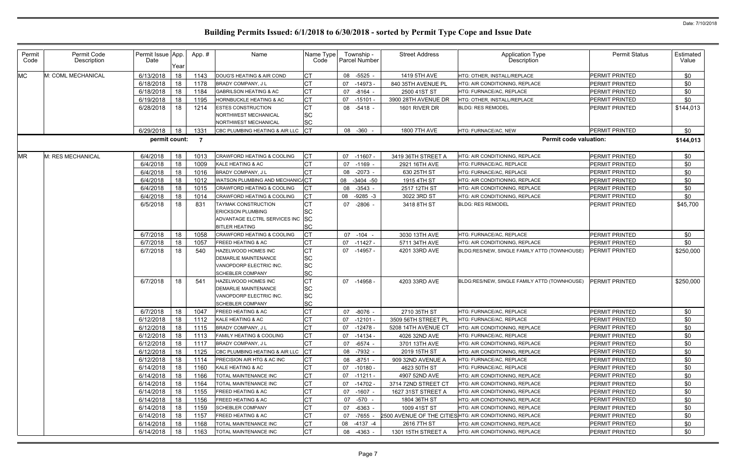| Permit<br>Code | Permit Code<br>Description | Permit Issue App.<br>Date | Year | App.# | Name                                            | Name Type<br>Code |    | Township -<br>Parcel Number | <b>Street Address</b> | <b>Application Type</b><br>Description                   | <b>Permit Status</b>  | Estimated<br>Value |
|----------------|----------------------------|---------------------------|------|-------|-------------------------------------------------|-------------------|----|-----------------------------|-----------------------|----------------------------------------------------------|-----------------------|--------------------|
| <b>MC</b>      | M: COML MECHANICAL         | 6/13/2018                 | 18   | 1143  | DOUG'S HEATING & AIR COND                       | CТ                | 08 | $-5525 -$                   | 1419 5TH AVE          | HTG: OTHER, INSTALL/REPLACE                              | PERMIT PRINTED        | \$0                |
|                |                            | 6/18/2018                 | 18   | 1178  | BRADY COMPANY, J L                              | СT                | 07 | $-14973$                    | 840 35TH AVENUE PL    | <b>HTG: AIR CONDITIONING. REPLACE</b>                    | PERMIT PRINTED        | \$0                |
|                |                            | 6/18/2018                 | 18   | 1184  | <b>GABRILSON HEATING &amp; AC</b>               | СT                | 07 | $-8164 -$                   | 2500 41ST ST          | HTG: FURNACE/AC, REPLACE                                 | PERMIT PRINTED        | \$0                |
|                |                            | 6/19/2018                 | 18   | 1195  | <b>HORNBUCKLE HEATING &amp; AC</b>              | <b>CT</b>         | 07 | $-15101$                    | 3900 28TH AVENUE DR   | HTG: OTHER, INSTALL/REPLACE                              | PERMIT PRINTED        | \$0                |
|                |                            | 6/28/2018                 | 18   | 1214  | <b>ESTES CONSTRUCTION</b>                       | <b>CT</b>         |    | 08 -5418 -                  | 1601 RIVER DR         | <b>BLDG: RES REMODEL</b>                                 | PERMIT PRINTED        | \$144,013          |
|                |                            |                           |      |       | NORTHWEST MECHANICAL                            | SC                |    |                             |                       |                                                          |                       |                    |
|                |                            |                           |      |       | NORTHWEST MECHANICAL                            | SC                |    |                             |                       |                                                          |                       |                    |
|                |                            | 6/29/2018                 | 18   | 1331  | CBC PLUMBING HEATING & AIR LLC                  | $ _{\rm CT}$      |    | 08 -360 -                   | 1800 7TH AVE          | HTG: FURNACE/AC, NEW                                     | PERMIT PRINTED        | \$0                |
|                |                            | permit count:             |      | - 7   |                                                 |                   |    |                             |                       | <b>Permit code valuation:</b>                            |                       | \$144,013          |
| <b>MR</b>      | M: RES MECHANICAL          | 6/4/2018                  | 18   | 1013  | <b>CRAWFORD HEATING &amp; COOLING</b>           | <b>CT</b>         |    | $07 - 11607$                | 3419 36TH STREET A    | HTG: AIR CONDITIONING, REPLACE                           | PERMIT PRINTED        | \$0                |
|                |                            | 6/4/2018                  | 18   | 1009  | KALE HEATING & AC                               | <b>CT</b>         | 07 | $-1169$ -                   | 2921 16TH AVE         | HTG: FURNACE/AC, REPLACE                                 | <b>PERMIT PRINTED</b> | \$0                |
|                |                            | 6/4/2018                  | 18   | 1016  | BRADY COMPANY, J L                              | <b>CT</b>         | 08 | $-2073 -$                   | 630 25TH ST           | HTG: FURNACE/AC, REPLACE                                 | <b>PERMIT PRINTED</b> | \$0                |
|                |                            | 6/4/2018                  | 18   | 1012  | WATSON PLUMBING AND MECHANIC/CT                 |                   | 08 | $-3404 - 50$                | 1915 4TH ST           | HTG: AIR CONDITIONING, REPLACE                           | PERMIT PRINTED        | \$0                |
|                |                            | 6/4/2018                  | 18   | 1015  | CRAWFORD HEATING & COOLING                      | СT                | 08 | $-3543 -$                   | 2517 12TH ST          | HTG: AIR CONDITIONING, REPLACE                           | PERMIT PRINTED        | \$0                |
|                |                            | 6/4/2018                  | 18   | 1014  | CRAWFORD HEATING & COOLING                      | СT                | 08 | $-9285 - 3$                 | 3022 3RD ST           | HTG: AIR CONDITIONING, REPLACE                           | PERMIT PRINTED        | \$0                |
|                |                            | 6/5/2018                  | 18   | 831   | TAYMAK CONSTRUCTION                             | СT                | 07 | $-2806 -$                   | 3418 8TH ST           | <b>BLDG: RES REMODEL</b>                                 | PERMIT PRINTED        | \$45,700           |
|                |                            |                           |      |       | <b>ERICKSON PLUMBING</b>                        | <b>SC</b>         |    |                             |                       |                                                          |                       |                    |
|                |                            |                           |      |       | ADVANTAGE ELCTRL SERVICES INC                   | <b>SC</b>         |    |                             |                       |                                                          |                       |                    |
|                |                            |                           |      |       | <b>BITLER HEATING</b>                           | <b>SC</b>         |    |                             |                       |                                                          |                       |                    |
|                |                            | 6/7/2018                  | 18   | 1058  | <b>CRAWFORD HEATING &amp; COOLING</b>           | СT                |    | 07 -104 -                   | 3030 13TH AVE         | HTG: FURNACE/AC, REPLACE                                 | PERMIT PRINTED        | \$0                |
|                |                            | 6/7/2018                  | 18   | 1057  | <b>FREED HEATING &amp; AC</b>                   | <b>CT</b>         |    | 07 -11427 -                 | 5711 34TH AVE         | HTG: AIR CONDITIONING, REPLACE                           | PERMIT PRINTED        | \$0                |
|                |                            | 6/7/2018                  | 18   | 540   | HAZELWOOD HOMES INC                             | <b>CT</b>         |    | 07 -14957 -                 | 4201 33RD AVE         | BLDG:RES/NEW, SINGLE FAMILY ATTD (TOWNHOUSE)             | <b>PERMIT PRINTED</b> | \$250,000          |
|                |                            |                           |      |       | DEMARLIE MAINTENANCE<br>VANOPDORP ELECTRIC INC. | <b>SC</b><br>SC   |    |                             |                       |                                                          |                       |                    |
|                |                            |                           |      |       | <b>SCHEBLER COMPANY</b>                         | <b>SC</b>         |    |                             |                       |                                                          |                       |                    |
|                |                            | 6/7/2018                  | 18   | 541   | HAZELWOOD HOMES INC                             | <b>CT</b>         |    | 07 -14958 -                 | 4203 33RD AVE         | BLDG:RES/NEW, SINGLE FAMILY ATTD (TOWNHOUSE)             | <b>PERMIT PRINTED</b> | \$250,000          |
|                |                            |                           |      |       | <b>DEMARLIE MAINTENANCE</b>                     | SC                |    |                             |                       |                                                          |                       |                    |
|                |                            |                           |      |       | VANOPDORP ELECTRIC INC.                         | SC                |    |                             |                       |                                                          |                       |                    |
|                |                            |                           |      |       | <b>SCHEBLER COMPANY</b>                         | <b>SC</b>         |    |                             |                       |                                                          |                       |                    |
|                |                            | 6/7/2018                  | 18   | 1047  | <b>FREED HEATING &amp; AC</b>                   | <b>CT</b>         |    | 07 -8076 -                  | 2710 35TH ST          | HTG: FURNACE/AC, REPLACE                                 | <b>PERMIT PRINTED</b> | \$0                |
|                |                            | 6/12/2018                 | 18   |       | 1112 KALE HEATING & AC                          | <b>CT</b>         |    | $07 - 12101 -$              | 3509 56TH STREET PL   | HTG: FURNACE/AC, REPLACE                                 | PERMIT PRINTED        | \$0                |
|                |                            | 6/12/2018                 | 18   | 1115  | BRADY COMPANY, J L                              |                   | 07 | -12478 -                    | 5208 14TH AVENUE CT   | HTG: AIR CONDITIONING, REPLACE                           | PERMIT PRINTED        | \$0                |
|                |                            | 6/12/2018                 | 18   | 1113  | FAMILY HEATING & COOLING                        | СT                |    | 07 -14134 -                 | 4026 32ND AVE         | HTG: FURNACE/AC, REPLACE                                 | PERMIT PRINTED        | \$0                |
|                |                            | 6/12/2018                 | 18   | 1117  | <b>BRADY COMPANY, JL</b>                        | СT                |    | 07 -6574 -                  | 3701 13TH AVE         | HTG: AIR CONDITIONING, REPLACE                           | PERMIT PRINTED        | \$0                |
|                |                            | 6/12/2018                 | 18   | 1125  | CBC PLUMBING HEATING & AIR LLC                  | СT                | 08 | -7932 -                     | 2019 15TH ST          | HTG: AIR CONDITIONING, REPLACE                           | PERMIT PRINTED        | \$0                |
|                |                            | 6/12/2018                 | 18   | 1114  | PRECISION AIR HTG & AC INC                      | <b>CT</b>         |    | 08 -8751 -                  | 909 32ND AVENUE A     | HTG: FURNACE/AC, REPLACE                                 | PERMIT PRINTED        | \$0                |
|                |                            | 6/14/2018                 | 18   | 1160  | KALE HEATING & AC                               | CТ                |    | 07 -10180 -                 | 4623 50TH ST          | HTG: FURNACE/AC, REPLACE                                 | <b>PERMIT PRINTED</b> | \$0                |
|                |                            | 6/14/2018                 | 18   | 1166  | TOTAL MAINTENANCE INC                           | CТ                |    | $07 - 11211 -$              | 4907 52ND AVE         | HTG: AIR CONDITIONING, REPLACE                           | PERMIT PRINTED        | \$0                |
|                |                            | 6/14/2018                 | 18   | 1164  | TOTAL MAINTENANCE INC                           | СT                |    | 07 -14702 -                 | 3714 72ND STREET CT   | HTG: AIR CONDITIONING, REPLACE                           | PERMIT PRINTED        | \$0                |
|                |                            | 6/14/2018                 | 18   | 1155  | FREED HEATING & AC                              | СT                |    | 07 -1607 -                  | 1627 31ST STREET A    | HTG: AIR CONDITIONING, REPLACE                           | <b>PERMIT PRINTED</b> | \$0                |
|                |                            | 6/14/2018                 | 18   | 1156  | <b>FREED HEATING &amp; AC</b>                   | СT                |    | 07 -570 -                   | 1804 36TH ST          | HTG: AIR CONDITIONING, REPLACE                           | PERMIT PRINTED        | \$0                |
|                |                            | 6/14/2018                 | 18   | 1159  | <b>SCHEBLER COMPANY</b>                         | СT                | 07 | -6363 -                     | 1009 41ST ST          | HTG: AIR CONDITIONING, REPLACE                           | PERMIT PRINTED        | \$0                |
|                |                            | 6/14/2018                 | 18   | 1157  | <b>FREED HEATING &amp; AC</b>                   |                   | 07 | -7655 -                     |                       | 2500 AVENUE OF THE CITIES HTG: AIR CONDITIONING, REPLACE | PERMIT PRINTED        | \$0                |
|                |                            | 6/14/2018                 | 18   | 1168  | TOTAL MAINTENANCE INC                           | CТ                | 08 | -4137 -4                    | 2616 7TH ST           | HTG: AIR CONDITIONING, REPLACE                           | PERMIT PRINTED        | \$0                |
|                |                            | 6/14/2018                 | 18   | 1163  | TOTAL MAINTENANCE INC                           | <b>CT</b>         |    | 08 -4363 -                  | 1301 15TH STREET A    | HTG: AIR CONDITIONING, REPLACE                           | <b>PERMIT PRINTED</b> | \$0                |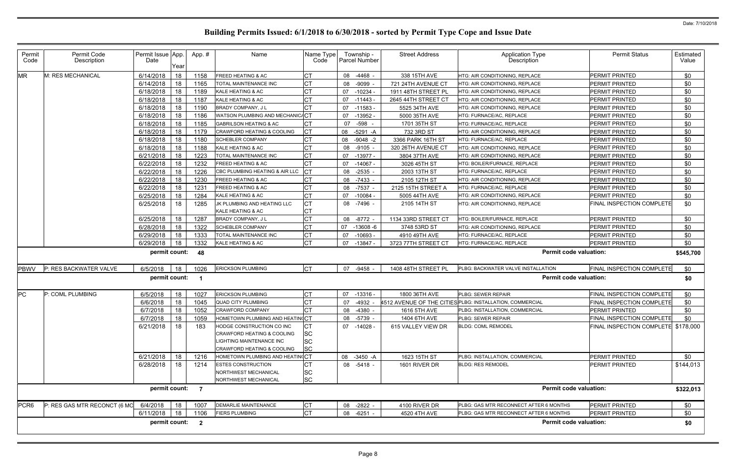| Permit<br>Code   | Permit Code<br>Description   | Permit Issue App.<br>Date | Year | App.# | Name                                                                                                              | Name Type<br>Code                         | Township -<br>Parcel Number | <b>Street Address</b> | <b>Application Type</b><br><b>Description</b>            | <b>Permit Status</b>                | Estimated<br>Value |
|------------------|------------------------------|---------------------------|------|-------|-------------------------------------------------------------------------------------------------------------------|-------------------------------------------|-----------------------------|-----------------------|----------------------------------------------------------|-------------------------------------|--------------------|
| <b>MR</b>        | M: RES MECHANICAL            | 6/14/2018                 | 18   | 1158  | <b>FREED HEATING &amp; AC</b>                                                                                     | CТ                                        | 08<br>-4468 -               | 338 15TH AVE          | HTG: AIR CONDITIONING, REPLACE                           | PERMIT PRINTED                      | \$0                |
|                  |                              | 6/14/2018                 | 18   | 1165  | TOTAL MAINTENANCE INC                                                                                             | СT                                        | 08<br>-9099 -               | 721 24TH AVENUE CT    | HTG: AIR CONDITIONING, REPLACE                           | PERMIT PRINTED                      | \$0                |
|                  |                              | 6/18/2018                 | 18   | 1189  | KALE HEATING & AC                                                                                                 | <b>CT</b>                                 | $-10234$<br>07              | 1911 48TH STREET PL   | HTG: AIR CONDITIONING, REPLACE                           | PERMIT PRINTED                      | \$0                |
|                  |                              | 6/18/2018                 | 18   | 1187  | KALE HEATING & AC                                                                                                 | СT                                        | 07<br>-11443                | 2645 44TH STREET CT   | HTG: AIR CONDITIONING, REPLACE                           | PERMIT PRINTED                      | \$0                |
|                  |                              | 6/18/2018                 | 18   | 1190  | <b>BRADY COMPANY, JL</b>                                                                                          | <b>CT</b>                                 | 07<br>$-11583 -$            | 5525 34TH AVE         | HTG: AIR CONDITIONING, REPLACE                           | PERMIT PRINTED                      | \$0                |
|                  |                              | 6/18/2018                 | 18   | 1186  | WATSON PLUMBING AND MECHANIC/CT                                                                                   |                                           | $-13952 -$<br>07            | 5000 35TH AVE         | HTG: FURNACE/AC, REPLACE                                 | PERMIT PRINTED                      | \$0                |
|                  |                              | 6/18/2018                 | 18   | 1185  | <b>GABRILSON HEATING &amp; AC</b>                                                                                 | СT                                        | 07 -598                     | 1701 35TH ST          | HTG: FURNACE/AC, REPLACE                                 | PERMIT PRINTED                      | \$0                |
|                  |                              | 6/18/2018                 | 18   | 1179  | <b>CRAWFORD HEATING &amp; COOLING</b>                                                                             | СT                                        | $-5291 - A$<br>08           | 732 3RD ST            | HTG: AIR CONDITIONING, REPLACE                           | PERMIT PRINTED                      | \$0                |
|                  |                              | 6/18/2018                 | 18   | 1180  | <b>SCHEBLER COMPANY</b>                                                                                           | СT                                        | 08<br>$-9048 -2$            | 3366 PARK 16TH ST     | HTG: FURNACE/AC, REPLACE                                 | <b>PERMIT PRINTED</b>               | \$0                |
|                  |                              | 6/18/2018                 | 18   | 1188  | KALE HEATING & AC                                                                                                 | СT                                        | 08<br>$-9105 -$             | 320 26TH AVENUE CT    | HTG: AIR CONDITIONING, REPLACE                           | PERMIT PRINTED                      | \$0                |
|                  |                              | 6/21/2018                 | 18   | 1223  | TOTAL MAINTENANCE INC                                                                                             | C1                                        | 07<br>-13977 -              | 3804 37TH AVE         | HTG: AIR CONDITIONING, REPLACE                           | PERMIT PRINTED                      | \$0                |
|                  |                              | 6/22/2018                 | 18   | 1232  | FREED HEATING & AC                                                                                                | <b>CT</b>                                 | 07<br>$-14067$ -            | 3026 45TH ST          | HTG: BOILER/FURNACE, REPLACE                             | PERMIT PRINTED                      | \$0                |
|                  |                              | 6/22/2018                 | 18   | 1226  | CBC PLUMBING HEATING & AIR LLC                                                                                    | <b>CT</b>                                 | 08<br>$-2535 -$             | 2003 13TH ST          | HTG: FURNACE/AC, REPLACE                                 | PERMIT PRINTED                      | \$0                |
|                  |                              | 6/22/2018                 | 18   | 1230  | <b>FREED HEATING &amp; AC</b>                                                                                     | СT                                        | 08<br>-7433 -               | 2105 12TH ST          | HTG: AIR CONDITIONING, REPLACE                           | PERMIT PRINTED                      | \$0                |
|                  |                              | 6/22/2018                 | 18   | 1231  | FREED HEATING & AC                                                                                                | СT                                        | -7537 -<br>08               | 2125 15TH STREET A    | HTG: FURNACE/AC, REPLACE                                 | PERMIT PRINTED                      | \$0                |
|                  |                              | 6/25/2018                 | 18   | 1284  | KALE HEATING & AC                                                                                                 | CТ                                        | $-10084$<br>07              | 5005 44TH AVE         | HTG: AIR CONDITIONING, REPLACE                           | PERMIT PRINTED                      | \$0                |
|                  |                              | 6/25/2018                 | 18   | 1285  | JK PLUMBING AND HEATING LLC<br>KALE HEATING & AC                                                                  | CT<br><b>CT</b>                           | 08<br>-7496 -               | 2105 14TH ST          | HTG: AIR CONDITIONING, REPLACE                           | <b>FINAL INSPECTION COMPLETE</b>    | \$0                |
|                  |                              | 6/25/2018                 | 18   | 1287  | BRADY COMPANY, J L                                                                                                | СT                                        | $-8772 -$<br>08             | 1134 33RD STREET CT   | HTG: BOILER/FURNACE, REPLACE                             | <b>PERMIT PRINTED</b>               | \$0                |
|                  |                              | 6/28/2018                 | 18   | 1322  | <b>SCHEBLER COMPANY</b>                                                                                           | СT                                        | 07<br>$-13608 - 6$          | 3748 53RD ST          | HTG: AIR CONDITIONING, REPLACE                           | PERMIT PRINTED                      | \$0                |
|                  |                              | 6/29/2018                 | 18   | 1333  | TOTAL MAINTENANCE INC                                                                                             | СT                                        | $-10693 -$<br>07            | 4910 49TH AVE         | HTG: FURNACE/AC, REPLACE                                 | PERMIT PRINTED                      | \$0                |
|                  |                              | 6/29/2018                 | 18   | 1332  | KALE HEATING & AC                                                                                                 | <b>CT</b>                                 | $-13847$<br>07              | 3723 77TH STREET CT   | HTG: FURNACE/AC, REPLACE                                 | PERMIT PRINTED                      | \$0                |
|                  |                              | permit count:             |      | 48    |                                                                                                                   |                                           |                             |                       | <b>Permit code valuation:</b>                            |                                     | \$545,700          |
| <b>PBWV</b>      | P: RES BACKWATER VALVE       | 6/5/2018                  | 18   | 1026  | <b>ERICKSON PLUMBING</b>                                                                                          | <b>I</b> CT                               | 07 -9458                    | 1408 48TH STREET PL   | PLBG: BACKWATER VALVE INSTALLATION                       | <b>FINAL INSPECTION COMPLETE</b>    | \$0                |
|                  |                              | permit count:             |      |       |                                                                                                                   |                                           |                             |                       | <b>Permit code valuation:</b>                            |                                     | \$0                |
| <b>PC</b>        | P: COML PLUMBING             | 6/5/2018                  | 18   | 1027  | <b>ERICKSON PLUMBING</b>                                                                                          | СT                                        | 07<br>$-13316 -$            | 1800 36TH AVE         | PLBG: SEWER REPAIR                                       | FINAL INSPECTION COMPLETE           | \$0                |
|                  |                              | 6/6/2018                  | 18   | 1045  | <b>QUAD CITY PLUMBING</b>                                                                                         | <b>CT</b>                                 | $-4932 -$<br>07             |                       | 4512 AVENUE OF THE CITIES PLBG: INSTALLATION, COMMERCIAL | <b>FINAL INSPECTION COMPLETE</b>    | \$0                |
|                  |                              | 6/7/2018                  | 18   | 1052  | <b>CRAWFORD COMPANY</b>                                                                                           | СT                                        | -4380<br>08                 | 1616 5TH AVE          | PLBG: INSTALLATION, COMMERCIAL                           | PERMIT PRINTED                      | \$0                |
|                  |                              | 6/7/2018                  | 18   | 1059  | HOMETOWN PLUMBING AND HEATINGCT                                                                                   |                                           | 08 -5739 -                  | 1404 6TH AVE          | PLBG: SEWER REPAIR                                       | <b>FINAL INSPECTION COMPLETE</b>    | \$0                |
|                  |                              | 6/21/2018                 | 18   | 183   | HODGE CONSTRUCTION CO INC<br>CRAWFORD HEATING & COOLING<br>LIGHTING MAINTENANCE INC<br>CRAWFORD HEATING & COOLING | <b>CT</b><br>SC<br><b>SC</b><br><b>SC</b> | 07 -14028 -                 | 615 VALLEY VIEW DR    | <b>BLDG: COML REMODEL</b>                                | FINAL INSPECTION COMPLETE \$178,000 |                    |
|                  |                              | 6/21/2018                 | 18   | 1216  | HOMETOWN PLUMBING AND HEATING CT                                                                                  |                                           | -3450 -A<br>08              | 1623 15TH ST          | PLBG: INSTALLATION, COMMERCIAL                           | PERMIT PRINTED                      | \$0                |
|                  |                              | 6/28/2018                 | 18   | 1214  | <b>ESTES CONSTRUCTION</b>                                                                                         | СT                                        | 08 -5418 -                  | 1601 RIVER DR         | <b>BLDG: RES REMODEL</b>                                 | <b>PERMIT PRINTED</b>               | \$144,013          |
|                  |                              |                           |      |       | NORTHWEST MECHANICAL<br>NORTHWEST MECHANICAL                                                                      | SC<br><b>SC</b>                           |                             |                       |                                                          |                                     |                    |
|                  |                              | permit count: 7           |      |       |                                                                                                                   |                                           |                             |                       | <b>Permit code valuation:</b>                            |                                     | \$322,013          |
| PCR <sub>6</sub> | P: RES GAS MTR RECONCT (6 MC | 6/4/2018                  | 18   | 1007  | <b>DEMARLIE MAINTENANCE</b>                                                                                       | <b>CT</b>                                 | 08 -2822 -                  | 4100 RIVER DR         | PLBG: GAS MTR RECONNECT AFTER 6 MONTHS                   | PERMIT PRINTED                      | \$0                |
|                  |                              | 6/11/2018                 | 18   | 1106  | <b>FIERS PLUMBING</b>                                                                                             | <b>CT</b>                                 | $-6251 -$<br>08             | 4520 4TH AVE          | PLBG: GAS MTR RECONNECT AFTER 6 MONTHS                   | PERMIT PRINTED                      | \$0                |
|                  |                              | permit count: 2           |      |       |                                                                                                                   |                                           |                             |                       | <b>Permit code valuation:</b>                            |                                     | \$0                |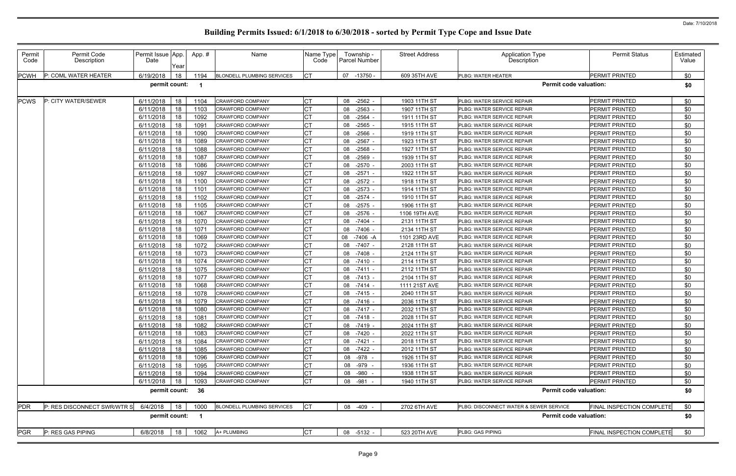| Permit<br>Code | Permit Code<br>Description  | Permit Issue App.<br>Date | Year | App.# | Name                              | Name Type<br>Code | Township -<br>Parcel Number | <b>Street Address</b> | <b>Application Type</b><br><b>Description</b> | <b>Permit Status</b>             | Estimated<br>Value |
|----------------|-----------------------------|---------------------------|------|-------|-----------------------------------|-------------------|-----------------------------|-----------------------|-----------------------------------------------|----------------------------------|--------------------|
| <b>PCWH</b>    | P: COML WATER HEATER        | 6/19/2018                 | 18   | 1194  | <b>BLONDELL PLUMBING SERVICES</b> | <b>CT</b>         | $-13750 -$<br>07            | 609 35TH AVE          | PLBG: WATER HEATER                            | <b>PERMIT PRINTED</b>            | \$0                |
|                |                             | permit count:             |      |       |                                   |                   |                             |                       | <b>Permit code valuation:</b>                 |                                  | \$0                |
| <b>PCWS</b>    | P: CITY WATER/SEWER         | 6/11/2018                 | 18   | 1104  | <b>CRAWFORD COMPANY</b>           | <b>CT</b>         | $-2562 -$<br>08             | 1903 11TH ST          | PLBG: WATER SERVICE REPAIR                    | PERMIT PRINTED                   | \$0                |
|                |                             | 6/11/2018                 | 18   | 1103  | <b>CRAWFORD COMPANY</b>           | <b>CT</b>         | $-2563 -$<br>08             | 1907 11TH ST          | PLBG: WATER SERVICE REPAIR                    | PERMIT PRINTED                   | \$0                |
|                |                             | 6/11/2018                 | 18   | 1092  | <b>CRAWFORD COMPANY</b>           | <b>CT</b>         | 08<br>$-2564$               | 1911 11TH ST          | PLBG: WATER SERVICE REPAIR                    | PERMIT PRINTED                   | \$0                |
|                |                             | 6/11/2018                 | 18   | 1091  | <b>CRAWFORD COMPANY</b>           | <b>CT</b>         | 08<br>-2565                 | 1915 11TH ST          | PLBG: WATER SERVICE REPAIR                    | PERMIT PRINTED                   | \$0                |
|                |                             | 6/11/2018                 | 18   | 1090  | <b>CRAWFORD COMPANY</b>           | <b>CT</b>         | 08<br>$-2566$               | 1919 11TH ST          | PLBG: WATER SERVICE REPAIR                    | PERMIT PRINTED                   | \$0                |
|                |                             | 6/11/2018                 | 18   | 1089  | <b>CRAWFORD COMPANY</b>           | <b>CT</b>         | $-2567$<br>08               | 1923 11TH ST          | PLBG: WATER SERVICE REPAIR                    | PERMIT PRINTED                   | \$0                |
|                |                             | 6/11/2018                 | 18   | 1088  | <b>CRAWFORD COMPANY</b>           | <b>CT</b>         | $-2568$<br>08               | 1927 11TH ST          | PLBG: WATER SERVICE REPAIR                    | PERMIT PRINTED                   | \$0                |
|                |                             | 6/11/2018                 | 18   | 1087  | <b>CRAWFORD COMPANY</b>           | <b>CT</b>         | $-2569$<br>08               | 1939 11TH ST          | PLBG: WATER SERVICE REPAIR                    | PERMIT PRINTED                   | \$0                |
|                |                             | 6/11/2018                 | 18   | 1086  | <b>CRAWFORD COMPANY</b>           | <b>CT</b>         | 08<br>$-2570$               | 2003 11TH ST          | PLBG: WATER SERVICE REPAIR                    | PERMIT PRINTED                   | \$0                |
|                |                             | 6/11/2018                 | 18   | 1097  | CRAWFORD COMPANY                  | <b>CT</b>         | $-2571$<br>08               | 1922 11TH ST          | PLBG: WATER SERVICE REPAIR                    | PERMIT PRINTED                   | \$0                |
|                |                             | 6/11/2018                 | 18   | 1100  | <b>CRAWFORD COMPANY</b>           | <b>CT</b>         | 08<br>$-2572 -$             | 1918 11TH ST          | PLBG: WATER SERVICE REPAIR                    | PERMIT PRINTED                   | \$0                |
|                |                             | 6/11/2018                 | 18   | 1101  | <b>CRAWFORD COMPANY</b>           | <b>CT</b>         | 08<br>$-2573$               | 1914 11TH ST          | PLBG: WATER SERVICE REPAIR                    | PERMIT PRINTED                   | \$0                |
|                |                             | 6/11/2018                 | 18   | 1102  | <b>CRAWFORD COMPANY</b>           | <b>CT</b>         | $-2574$<br>08               | 1910 11TH ST          | PLBG: WATER SERVICE REPAIR                    | PERMIT PRINTED                   | \$0                |
|                |                             | 6/11/2018                 | 18   | 1105  | <b>CRAWFORD COMPANY</b>           | <b>CT</b>         | 08<br>$-2575$               | 1906 11TH ST          | PLBG: WATER SERVICE REPAIR                    | PERMIT PRINTED                   | \$0                |
|                |                             | 6/11/2018                 | 18   | 1067  | CRAWFORD COMPANY                  | <b>CT</b>         | $-2576$<br>08               | 1106 19TH AVE         | PLBG: WATER SERVICE REPAIR                    | PERMIT PRINTED                   | \$0                |
|                |                             | 6/11/2018                 | 18   | 1070  | <b>CRAWFORD COMPANY</b>           | СT                | 08 -7404                    | 2131 11TH ST          | PLBG: WATER SERVICE REPAIR                    | PERMIT PRINTED                   | \$0                |
|                |                             | 6/11/2018                 | 18   | 1071  | CRAWFORD COMPANY                  | <b>CT</b>         | 08<br>$-7406$               | 2134 11TH ST          | PLBG: WATER SERVICE REPAIR                    | PERMIT PRINTED                   | \$0                |
|                |                             | 6/11/2018                 | 18   | 1069  | <b>CRAWFORD COMPANY</b>           | <b>CT</b>         | 08<br>-7406 -A              | 1101 23RD AVE         | PLBG: WATER SERVICE REPAIR                    | PERMIT PRINTED                   | \$0                |
|                |                             | 6/11/2018                 | 18   | 1072  | <b>CRAWFORD COMPANY</b>           | <b>CT</b>         | 08<br>$-7407 -$             | 2128 11TH ST          | PLBG: WATER SERVICE REPAIR                    | PERMIT PRINTED                   | \$0                |
|                |                             | 6/11/2018                 | 18   | 1073  | <b>CRAWFORD COMPANY</b>           | <b>CT</b>         | 08<br>$-7408 -$             | 2124 11TH ST          | PLBG: WATER SERVICE REPAIR                    | PERMIT PRINTED                   | \$0                |
|                |                             | 6/11/2018                 | 18   | 1074  | <b>CRAWFORD COMPANY</b>           | <b>CT</b>         | 08 -7410 -                  | 2114 11TH ST          | PLBG: WATER SERVICE REPAIR                    | PERMIT PRINTED                   | \$0                |
|                |                             | 6/11/2018                 | 18   | 1075  | <b>CRAWFORD COMPANY</b>           | <b>CT</b>         | 08<br>$-7411$               | 2112 11TH ST          | PLBG: WATER SERVICE REPAIR                    | PERMIT PRINTED                   | \$0                |
|                |                             | 6/11/2018                 | 18   | 1077  | <b>CRAWFORD COMPANY</b>           | <b>CT</b>         | 08<br>$-7413$               | 2104 11TH ST          | PLBG: WATER SERVICE REPAIR                    | PERMIT PRINTED                   | \$0                |
|                |                             | 6/11/2018                 | 18   | 1068  | CRAWFORD COMPANY                  | <b>CT</b>         | 08<br>$-7414$               | 1111 21ST AVE         | PLBG: WATER SERVICE REPAIR                    | PERMIT PRINTED                   | \$0                |
|                |                             | 6/11/2018                 | 18   | 1078  | <b>CRAWFORD COMPANY</b>           | <b>CT</b>         | 08 -7415 -                  | 2040 11TH ST          | PLBG: WATER SERVICE REPAIR                    | PERMIT PRINTED                   | \$0                |
|                |                             | 6/11/2018                 | 18   | 1079  | <b>CRAWFORD COMPANY</b>           | <b>CT</b>         | $-7416 -$<br>08             | 2036 11TH ST          | PLBG: WATER SERVICE REPAIR                    | PERMIT PRINTED                   | \$0                |
|                |                             | 6/11/2018                 | 18   | 1080  | <b>CRAWFORD COMPANY</b>           | <b>CT</b>         | 08 -7417 -                  | 2032 11TH ST          | PLBG: WATER SERVICE REPAIR                    | PERMIT PRINTED                   | \$0                |
|                |                             | $6/11/2018$ 18            |      | 1081  | CRAWFORD COMPANY                  | <b>CT</b>         | 08 -7418 -                  | 2028 11TH ST          | PLBG: WATER SERVICE REPAIR                    | PERMIT PRINTED                   | \$0                |
|                |                             | 6/11/2018                 | 18   | 1082  | <b>CRAWFORD COMPANY</b>           | Iст               | 08 -7419 -                  | 2024 11TH ST          | PLBG: WATER SERVICE REPAIR                    | PERMIT PRINTED                   | \$0                |
|                |                             | 6/11/2018                 | 18   | 1083  | <b>CRAWFORD COMPANY</b>           | <b>CT</b>         | 08 -7420 -                  | 2022 11TH ST          | PLBG: WATER SERVICE REPAIR                    | PERMIT PRINTED                   | \$0                |
|                |                             | 6/11/2018                 | 18   | 1084  | <b>CRAWFORD COMPANY</b>           | <b>CT</b>         | 08 -7421 -                  | 2018 11TH ST          | PLBG: WATER SERVICE REPAIR                    | PERMIT PRINTED                   | \$0                |
|                |                             | 6/11/2018                 | 18   | 1085  | <b>CRAWFORD COMPANY</b>           | <b>CT</b>         | 08 -7422 -                  | 2012 11TH ST          | PLBG: WATER SERVICE REPAIR                    | <b>PERMIT PRINTED</b>            | \$0                |
|                |                             | 6/11/2018                 | 18   | 1096  | <b>CRAWFORD COMPANY</b>           | Iст               | 08 -978 -                   | 1926 11TH ST          | PLBG: WATER SERVICE REPAIR                    | PERMIT PRINTED                   | \$0                |
|                |                             | 6/11/2018                 | 18   | 1095  | CRAWFORD COMPANY                  | <b>CT</b>         | 08 -979 -                   | 1936 11TH ST          | PLBG: WATER SERVICE REPAIR                    | PERMIT PRINTED                   | \$0                |
|                |                             | 6/11/2018                 | 18   | 1094  | <b>CRAWFORD COMPANY</b>           | <b>CT</b>         | 08 -980                     | 1938 11TH ST          | PLBG: WATER SERVICE REPAIR                    | PERMIT PRINTED                   | \$0                |
|                |                             | 6/11/2018                 | 18   | 1093  | CRAWFORD COMPANY                  | <b>CT</b>         | 08 - 981 -                  | 1940 11TH ST          | PLBG: WATER SERVICE REPAIR                    | PERMIT PRINTED                   | \$0                |
|                |                             | permit count: 36          |      |       |                                   |                   |                             |                       | <b>Permit code valuation:</b>                 |                                  | \$0                |
| <b>PDR</b>     | P: RES DISCONNECT SWR/WTR S | 6/4/2018                  | 18   | 1000  | <b>BLONDELL PLUMBING SERVICES</b> | CT                | 08 -409 -                   | 2702 6TH AVE          | PLBG: DISCONNECT WATER & SEWER SERVICE        | <b>FINAL INSPECTION COMPLETE</b> | \$0                |
|                |                             | permit count: 1           |      |       |                                   |                   |                             |                       | <b>Permit code valuation:</b>                 |                                  | \$0                |
| PGR            | P: RES GAS PIPING           | 6/8/2018                  | 18   | 1062  | A+ PLUMBING                       | <b>CT</b>         | 08 -5132 -                  | 523 20TH AVE          | PLBG: GAS PIPING                              | <b>FINAL INSPECTION COMPLETE</b> | \$0                |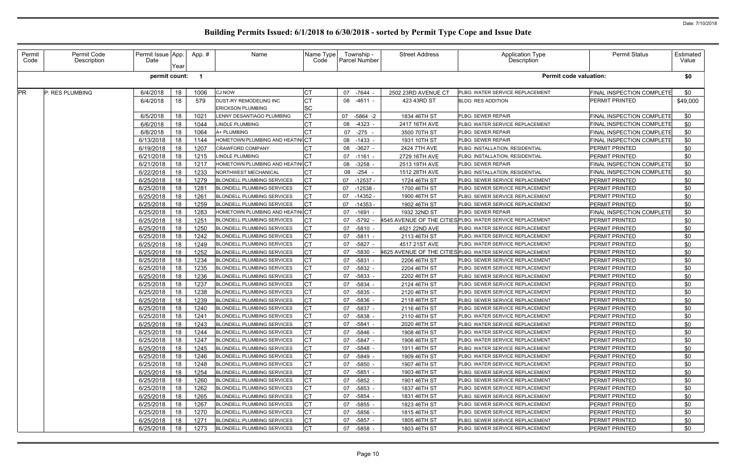| Permit<br>Code | Permit Code<br>Description | Permit Issue App.<br>Date | Year | App.# | Name                              | Name Type<br>Code | Township -<br><b>Parcel Number</b> | <b>Street Address</b> | <b>Application Type</b><br>Description                    | <b>Permit Status</b>             | Estimated<br>Value |
|----------------|----------------------------|---------------------------|------|-------|-----------------------------------|-------------------|------------------------------------|-----------------------|-----------------------------------------------------------|----------------------------------|--------------------|
|                |                            | permit count:             |      |       |                                   |                   |                                    |                       | <b>Permit code valuation:</b>                             |                                  | \$0                |
| PR             | P: RES PLUMBING            | 6/4/2018                  | 18   | 1006  | <b>CJ NOW</b>                     | СT                | 07 -7644                           | 2502 23RD AVENUE CT   | PLBG: WATER SERVICE REPLACEMENT                           | <b>FINAL INSPECTION COMPLETE</b> | \$0                |
|                |                            | 6/4/2018                  | 18   | 579   | DUST-RY REMODELING INC            | <b>CT</b>         | 08 -4611 -                         | 423 43RD ST           | <b>BLDG: RES ADDITION</b>                                 | PERMIT PRINTED                   | \$49,000           |
|                |                            |                           |      |       | <b>ERICKSON PLUMBING</b>          | <b>SC</b>         |                                    |                       |                                                           |                                  |                    |
|                |                            | 6/5/2018                  | 18   | 1021  | ENNY DESANTIAGO PLUMBING          | <b>CT</b>         | 07<br>$-5864 -2$                   | 1834 46TH ST          | PLBG: SEWER REPAIR                                        | FINAL INSPECTION COMPLETE        | \$0                |
|                |                            | 6/6/2018                  | 18   | 1044  | <b>INDLE PLUMBING</b>             |                   | -4323 -<br>08                      | 2417 16TH AVE         | PLBG: WATER SERVICE REPLACEMENT                           | <b>FINAL INSPECTION COMPLETE</b> | \$0                |
|                |                            | 6/8/2018                  | 18   | 1064  | A+ PLUMBING                       | CT                | 07<br>-275                         | 3500 70TH ST          | PLBG: SEWER REPAIR                                        | FINAL INSPECTION COMPLETE        | \$0                |
|                |                            | 6/13/2018                 | 18   | 1144  | HOMETOWN PLUMBING AND HEATIN(CT   |                   | 08<br>$-1433 -$                    | 1931 10TH ST          | <b>PLBG: SEWER REPAIR</b>                                 | FINAL INSPECTION COMPLETE        | \$0                |
|                |                            | 6/19/2018                 | 18   | 1207  | CRAWFORD COMPANY                  |                   | $-3627 -$<br>08                    | 2424 7TH AVE          | PLBG: INSTALLATION, RESIDENTIAL                           | PERMIT PRINTED                   | \$0                |
|                |                            | 6/21/2018                 | 18   | 1215  | INDLE PLUMBING                    |                   | 07<br>-1161 -                      | 2729 16TH AVE         | PLBG: INSTALLATION, RESIDENTIAL                           | PERMIT PRINTED                   | \$0                |
|                |                            | 6/21/2018                 | 18   | 1217  | HOMETOWN PLUMBING AND HEATIN(CT   |                   | 08<br>$-3258$                      | 2513 19TH AVE         | PLBG: SEWER REPAIR                                        | FINAL INSPECTION COMPLETE        | \$0                |
|                |                            | 6/22/2018                 | 18   | 1233  | VORTHWEST MECHANICAL              | <b>CT</b>         | 08<br>-254                         | 1512 28TH AVE         | <b>PLBG: INSTALLATION, RESIDENTIAL</b>                    | FINAL INSPECTION COMPLETE        | \$0                |
|                |                            | 6/25/2018                 | 18   | 1279  | <b>BLONDELL PLUMBING SERVICES</b> | <b>CT</b>         | 07<br>$-12537 -$                   | 1724 46TH ST          | PLBG: SEWER SERVICE REPLACEMENT                           | <b>PERMIT PRINTED</b>            | \$0                |
|                |                            | 6/25/2018                 | 18   | 1281  | <b>BLONDELL PLUMBING SERVICES</b> |                   | 07<br>$-12538 -$                   | 1700 46TH ST          | PLBG: SEWER SERVICE REPLACEMENT                           | <b>PERMIT PRINTED</b>            | \$0                |
|                |                            | 6/25/2018                 | 18   | 1261  | <b>BLONDELL PLUMBING SERVICES</b> |                   | 07<br>$-14352 -$                   | 1900 46TH ST          | PLBG: SEWER SERVICE REPLACEMENT                           | <b>PERMIT PRINTED</b>            | \$0                |
|                |                            | 6/25/2018                 | 18   | 1259  | <b>BLONDELL PLUMBING SERVICES</b> | <b>CT</b>         | $-14353 -$<br>07                   | 1902 46TH ST          | PLBG: SEWER SERVICE REPLACEMENT                           | PERMIT PRINTED                   | \$0                |
|                |                            | 6/25/2018                 | 18   | 1283  | HOMETOWN PLUMBING AND HEATINGCT   |                   | 07<br>$-1691 -$                    | 1932 32ND ST          | PLBG: SEWER REPAIR                                        | FINAL INSPECTION COMPLETE        | \$0                |
|                |                            | 6/25/2018                 | 18   | 1251  | <b>BLONDELL PLUMBING SERVICES</b> |                   | $-5792$<br>07                      |                       | 4545 AVENUE OF THE CITIES PLBG: WATER SERVICE REPLACEMENT | PERMIT PRINTED                   | \$0                |
|                |                            | 6/25/2018                 | 18   | 1250  | <b>BLONDELL PLUMBING SERVICES</b> | <b>CT</b>         | $-5810 -$<br>07                    | 4521 22ND AVE         | PLBG: WATER SERVICE REPLACEMENT                           | <b>PERMIT PRINTED</b>            | \$0                |
|                |                            | 6/25/2018                 | 18   | 1242  | <b>BLONDELL PLUMBING SERVICES</b> | <b>CT</b>         | 07<br>$-5811 -$                    | 2113 46TH ST          | PLBG: WATER SERVICE REPLACEMENT                           | <b>PERMIT PRINTED</b>            | \$0                |
|                |                            | 6/25/2018                 | 18   | 1249  | <b>BLONDELL PLUMBING SERVICES</b> | <b>CT</b>         | $-5827 -$<br>07                    | 4517 21ST AVE         | PLBG: WATER SERVICE REPLACEMENT                           | <b>PERMIT PRINTED</b>            | \$0                |
|                |                            | 6/25/2018                 | 18   | 1252  | <b>BLONDELL PLUMBING SERVICES</b> | СT                | $-5830 -$<br>07                    |                       | 4625 AVENUE OF THE CITIES PLBG: WATER SERVICE REPLACEMENT | <b>PERMIT PRINTED</b>            | \$0                |
|                |                            | 6/25/2018                 | 18   | 1234  | <b>BLONDELL PLUMBING SERVICES</b> | СT                | 07<br>$-5831$                      | 2206 46TH ST          | PLBG: SEWER SERVICE REPLACEMENT                           | <b>PERMIT PRINTED</b>            | \$0                |
|                |                            | 6/25/2018                 | 18   | 1235  | <b>BLONDELL PLUMBING SERVICES</b> | СT                | $-5832 -$<br>07                    | 2204 46TH ST          | PLBG: SEWER SERVICE REPLACEMENT                           | <b>PERMIT PRINTED</b>            | \$0                |
|                |                            | 6/25/2018                 | 18   | 1236  | <b>BLONDELL PLUMBING SERVICES</b> | <b>CT</b>         | -5833<br>07                        | 2202 46TH ST          | PLBG: SEWER SERVICE REPLACEMENT                           | <b>PERMIT PRINTED</b>            | \$0                |
|                |                            | 6/25/2018                 | 18   | 1237  | <b>BLONDELL PLUMBING SERVICES</b> | <b>CT</b>         | $-5834 -$<br>07                    | 2124 46TH ST          | PLBG: SEWER SERVICE REPLACEMENT                           | <b>PERMIT PRINTED</b>            | \$0                |
|                |                            | 6/25/2018                 | 18   | 1238  | <b>BLONDELL PLUMBING SERVICES</b> | <b>CT</b>         | $-5835 -$<br>07                    | 2120 46TH ST          | <b>PLBG: SEWER SERVICE REPLACEMENT</b>                    | PERMIT PRINTED                   | \$0                |
|                |                            | 6/25/2018                 | 18   | 1239  | <b>BLONDELL PLUMBING SERVICES</b> |                   | $-5836 -$<br>07                    | 2118 46TH ST          | PLBG: SEWER SERVICE REPLACEMENT                           | PERMIT PRINTED                   | \$0                |
|                |                            | 6/25/2018                 | 18   | 1240  | <b>BLONDELL PLUMBING SERVICES</b> | <b>CT</b>         | 07<br>-5837 -                      | 2116 46TH ST          | PLBG: SEWER SERVICE REPLACEMENT                           | PERMIT PRINTED                   | \$0                |
|                |                            | $6/25/2018$ 18            |      | 1241  | BLONDELL PLUMBING SERVICES        | <b>CT</b>         | 07 -5838 -                         | 2110 46TH ST          | PLBG: WATER SERVICE REPLACEMENT                           | PERMIT PRINTED                   | \$0                |
|                |                            | 6/25/2018                 | 18   | 1243  | <b>BLONDELL PLUMBING SERVICES</b> | <b>CT</b>         | 07 -5841 -                         | 2020 46TH ST          | PLBG: WATER SERVICE REPLACEMENT                           | <b>PERMIT PRINTED</b>            | \$0                |
|                |                            | 6/25/2018                 | 18   | 1244  | <b>BLONDELL PLUMBING SERVICES</b> | СT                | 07 -5846 -                         | 1908 46TH ST          | PLBG: WATER SERVICE REPLACEMENT                           | <b>PERMIT PRINTED</b>            | \$0                |
|                |                            | 6/25/2018                 | 18   | 1247  | <b>BLONDELL PLUMBING SERVICES</b> |                   | 07 -5847 -                         | 1906 46TH ST          | PLBG: WATER SERVICE REPLACEMENT                           | <b>PERMIT PRINTED</b>            | \$0                |
|                |                            | 6/25/2018                 | 18   | 1245  | <b>BLONDELL PLUMBING SERVICES</b> | <b>CT</b>         | 07<br>-5848 -                      | 1911 46TH ST          | PLBG: WATER SERVICE REPLACEMENT                           | PERMIT PRINTED                   | \$0                |
|                |                            | 6/25/2018                 | 18   | 1246  | <b>BLONDELL PLUMBING SERVICES</b> | СT                | -5849 -<br>07                      | 1909 46TH ST          | PLBG: WATER SERVICE REPLACEMENT                           | <b>PERMIT PRINTED</b>            | \$0                |
|                |                            | 6/25/2018                 | 18   | 1248  | <b>BLONDELL PLUMBING SERVICES</b> | IСТ               | -5850 -<br>07                      | 1907 46TH ST          | PLBG: WATER SERVICE REPLACEMENT                           | <b>PERMIT PRINTED</b>            | \$0                |
|                |                            | 6/25/2018                 | 18   | 1254  | <b>BLONDELL PLUMBING SERVICES</b> |                   | -5851 -<br>07                      | 1903 46TH ST          | PLBG: SEWER SERVICE REPLACEMENT                           | <b>PERMIT PRINTED</b>            | \$0                |
|                |                            | 6/25/2018                 | 18   | 1260  | <b>BLONDELL PLUMBING SERVICES</b> |                   | -5852 -<br>07                      | 1901 46TH ST          | PLBG: SEWER SERVICE REPLACEMENT                           | <b>PERMIT PRINTED</b>            | \$0                |
|                |                            | 6/25/2018                 | 18   | 1262  | <b>BLONDELL PLUMBING SERVICES</b> | СT                | 07<br>-5853 -                      | 1837 46TH ST          | PLBG: SEWER SERVICE REPLACEMENT                           | <b>PERMIT PRINTED</b>            | \$0                |
|                |                            | 6/25/2018                 | 18   | 1265  | <b>BLONDELL PLUMBING SERVICES</b> |                   | 07<br>-5854 -                      | 1831 46TH ST          | PLBG: SEWER SERVICE REPLACEMENT                           | <b>PERMIT PRINTED</b>            | \$0                |
|                |                            | 6/25/2018                 | 18   | 1267  | <b>BLONDELL PLUMBING SERVICES</b> | <b>CT</b>         | -5855 -<br>07                      | 1823 46TH ST          | PLBG: SEWER SERVICE REPLACEMENT                           | PERMIT PRINTED                   | \$0                |
|                |                            | 6/25/2018                 | 18   | 1270  | <b>BLONDELL PLUMBING SERVICES</b> |                   | -5856 -<br>07                      | 1815 46TH ST          | PLBG: SEWER SERVICE REPLACEMENT                           | <b>PERMIT PRINTED</b>            | \$0                |
|                |                            | 6/25/2018                 | 18   | 1271  | <b>BLONDELL PLUMBING SERVICES</b> | СT                | 07<br>-5857 -                      | 1805 46TH ST          | PLBG: SEWER SERVICE REPLACEMENT                           | PERMIT PRINTED                   | \$0                |
|                |                            | 6/25/2018                 | 18   | 1273  | <b>BLONDELL PLUMBING SERVICES</b> | <b>I</b> CT       | 07<br>-5858 -                      | 1803 46TH ST          | PLBG: SEWER SERVICE REPLACEMENT                           | PERMIT PRINTED                   | \$0                |